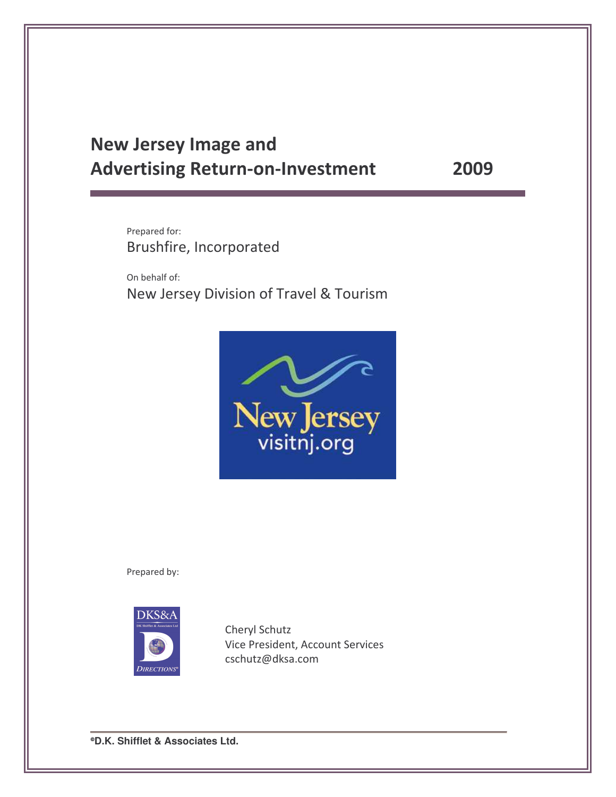# **New Jersey Image and Advertising Return-on-Investment**

2009

Prepared for: Brushfire, Incorporated

On behalf of: New Jersey Division of Travel & Tourism



Prepared by:



Cheryl Schutz Vice President, Account Services cschutz@dksa.com

*•D.K. Shifflet & Associates Ltd.*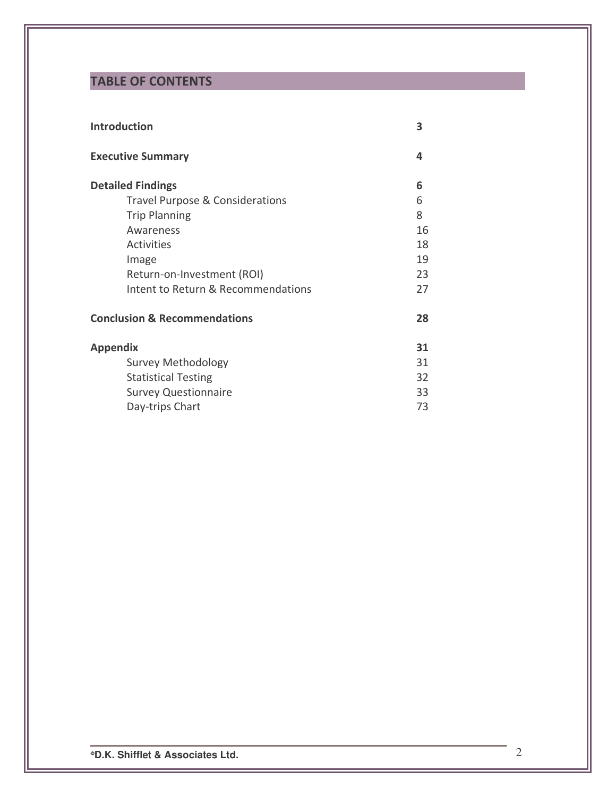# **TABLE OF CONTENTS**

| <b>Introduction</b>                     | 3  |
|-----------------------------------------|----|
| <b>Executive Summary</b>                | 4  |
| <b>Detailed Findings</b>                | 6  |
| Travel Purpose & Considerations         | 6  |
| <b>Trip Planning</b>                    | 8  |
| Awareness                               | 16 |
| <b>Activities</b>                       | 18 |
| Image                                   | 19 |
| Return-on-Investment (ROI)              | 23 |
| Intent to Return & Recommendations      | 27 |
| <b>Conclusion &amp; Recommendations</b> | 28 |
| <b>Appendix</b>                         | 31 |
| <b>Survey Methodology</b>               | 31 |
| <b>Statistical Testing</b>              | 32 |
| <b>Survey Questionnaire</b>             | 33 |
| Day-trips Chart                         | 73 |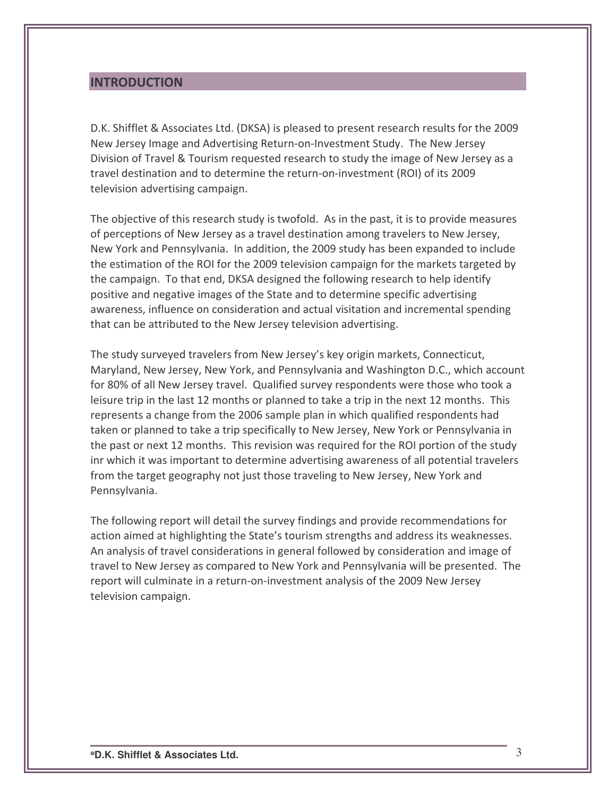## **INTRODUCTION**

D.K. Shifflet & Associates Ltd. (DKSA) is pleased to present research results for the 2009 New Jersey Image and Advertising Return-on-Investment Study. The New Jersey Division of Travel & Tourism requested research to study the image of New Jersey as a travel destination and to determine the return-on-investment (ROI) of its 2009 television advertising campaign.

The objective of this research study is twofold. As in the past, it is to provide measures of perceptions of New Jersey as a travel destination among travelers to New Jersey, New York and Pennsylvania. In addition, the 2009 study has been expanded to include the estimation of the ROI for the 2009 television campaign for the markets targeted by the campaign. To that end, DKSA designed the following research to help identify positive and negative images of the State and to determine specific advertising awareness, influence on consideration and actual visitation and incremental spending that can be attributed to the New Jersey television advertising.

The study surveyed travelers from New Jersey's key origin markets, Connecticut, Maryland, New Jersey, New York, and Pennsylvania and Washington D.C., which account for 80% of all New Jersey travel. Qualified survey respondents were those who took a leisure trip in the last 12 months or planned to take a trip in the next 12 months. This represents a change from the 2006 sample plan in which qualified respondents had taken or planned to take a trip specifically to New Jersey, New York or Pennsylvania in the past or next 12 months. This revision was required for the ROI portion of the study inr which it was important to determine advertising awareness of all potential travelers from the target geography not just those traveling to New Jersey, New York and Pennsylvania.

The following report will detail the survey findings and provide recommendations for action aimed at highlighting the State's tourism strengths and address its weaknesses. An analysis of travel considerations in general followed by consideration and image of travel to New Jersey as compared to New York and Pennsylvania will be presented. The report will culminate in a return-on-investment analysis of the 2009 New Jersey television campaign.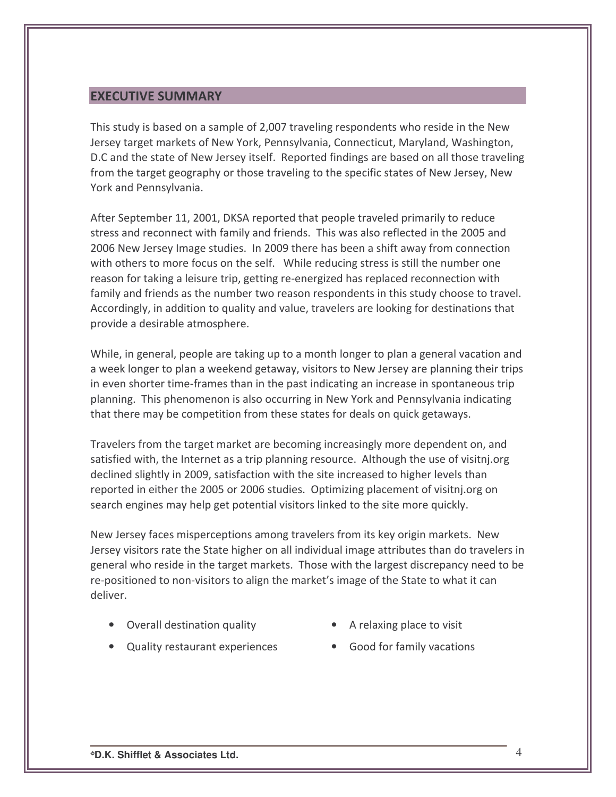## **EXECUTIVE SUMMARY**

This study is based on a sample of 2,007 traveling respondents who reside in the New Jersey target markets of New York, Pennsylvania, Connecticut, Maryland, Washington, D.C and the state of New Jersey itself. Reported findings are based on all those traveling from the target geography or those traveling to the specific states of New Jersey, New York and Pennsylvania.

After September 11, 2001, DKSA reported that people traveled primarily to reduce stress and reconnect with family and friends. This was also reflected in the 2005 and 2006 New Jersey Image studies. In 2009 there has been a shift away from connection with others to more focus on the self. While reducing stress is still the number one reason for taking a leisure trip, getting re-energized has replaced reconnection with family and friends as the number two reason respondents in this study choose to travel. Accordingly, in addition to quality and value, travelers are looking for destinations that provide a desirable atmosphere.

While, in general, people are taking up to a month longer to plan a general vacation and a week longer to plan a weekend getaway, visitors to New Jersey are planning their trips in even shorter time-frames than in the past indicating an increase in spontaneous trip planning. This phenomenon is also occurring in New York and Pennsylvania indicating that there may be competition from these states for deals on quick getaways.

Travelers from the target market are becoming increasingly more dependent on, and satisfied with, the Internet as a trip planning resource. Although the use of visitnj.org declined slightly in 2009, satisfaction with the site increased to higher levels than reported in either the 2005 or 2006 studies. Optimizing placement of visitnj.org on search engines may help get potential visitors linked to the site more quickly.

New Jersey faces misperceptions among travelers from its key origin markets. New Jersey visitors rate the State higher on all individual image attributes than do travelers in general who reside in the target markets. Those with the largest discrepancy need to be re-positioned to non-visitors to align the market's image of the State to what it can deliver.

- Overall destination quality
- A relaxing place to visit
- Quality restaurant experiences
- Good for family vacations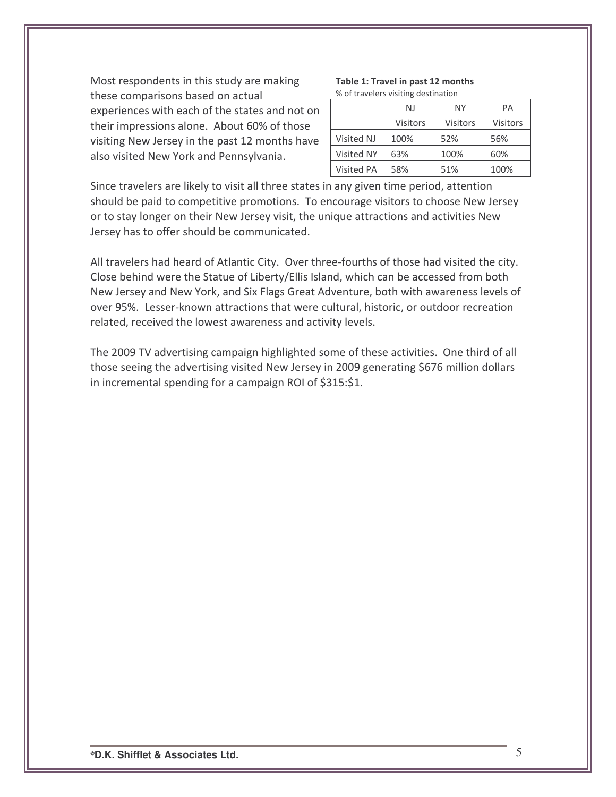Most respondents in this study are making these comparisons based on actual experiences with each of the states and not on their impressions alone. About 60% of those visiting New Jersey in the past 12 months have also visited New York and Pennsylvania.

#### Table 1: Travel in past 12 months % of travelers visiting destination

|                   | NJ              | NΥ              | PA       |  |  |  |  |
|-------------------|-----------------|-----------------|----------|--|--|--|--|
|                   | <b>Visitors</b> | <b>Visitors</b> | Visitors |  |  |  |  |
| Visited NJ        | 100%            | 52%             | 56%      |  |  |  |  |
| <b>Visited NY</b> | 63%             | 100%            | 60%      |  |  |  |  |
| <b>Visited PA</b> | 58%             | 51%             | 100%     |  |  |  |  |

Since travelers are likely to visit all three states in any given time period, attention should be paid to competitive promotions. To encourage visitors to choose New Jersey or to stay longer on their New Jersey visit, the unique attractions and activities New Jersey has to offer should be communicated.

All travelers had heard of Atlantic City. Over three-fourths of those had visited the city. Close behind were the Statue of Liberty/Ellis Island, which can be accessed from both New Jersey and New York, and Six Flags Great Adventure, both with awareness levels of over 95%. Lesser-known attractions that were cultural, historic, or outdoor recreation related, received the lowest awareness and activity levels.

The 2009 TV advertising campaign highlighted some of these activities. One third of all those seeing the advertising visited New Jersey in 2009 generating \$676 million dollars in incremental spending for a campaign ROI of \$315:\$1.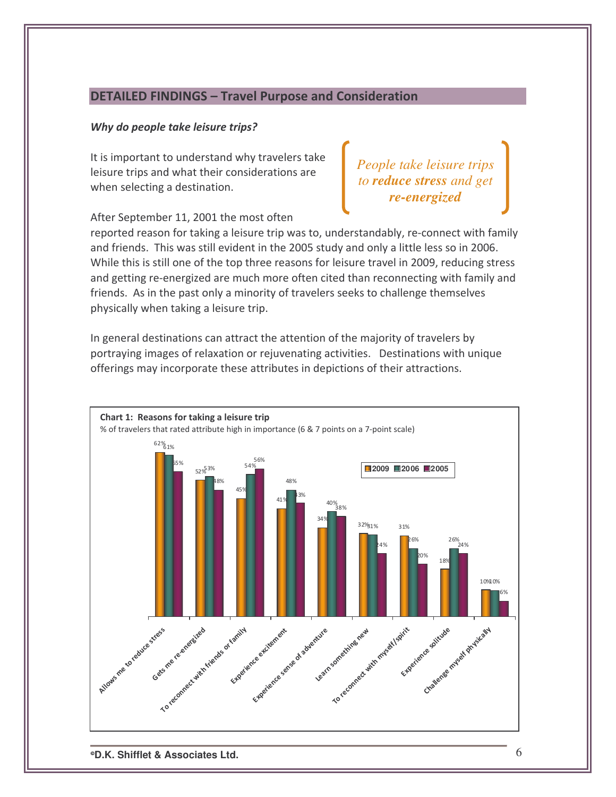## DETAILED FINDINGS - Travel Purpose and Consideration

### Why do people take leisure trips?

It is important to understand why travelers take leisure trips and what their considerations are when selecting a destination.

*People take leisure trips to reduce stress and get re-energized*

After September 11, 2001 the most often

reported reason for taking a leisure trip was to, understandably, re-connect with family and friends. This was still evident in the 2005 study and only a little less so in 2006. While this is still one of the top three reasons for leisure travel in 2009, reducing stress and getting re-energized are much more often cited than reconnecting with family and friends. As in the past only a minority of travelers seeks to challenge themselves physically when taking a leisure trip.

In general destinations can attract the attention of the majority of travelers by portraying images of relaxation or rejuvenating activities. Destinations with unique offerings may incorporate these attributes in depictions of their attractions.

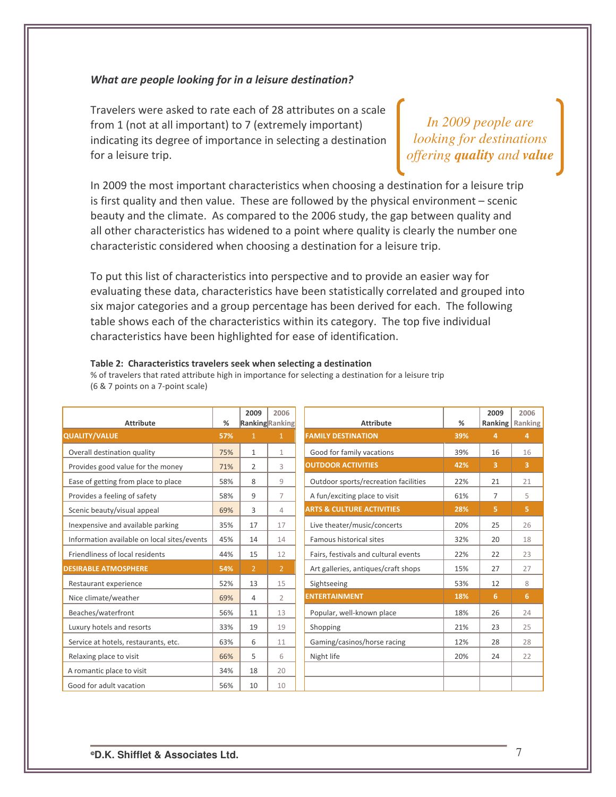#### What are people looking for in a leisure destination?

Travelers were asked to rate each of 28 attributes on a scale from 1 (not at all important) to 7 (extremely important) indicating its degree of importance in selecting a destination for a leisure trip.

*In 2009 people are looking for destinations offering quality and value*

In 2009 the most important characteristics when choosing a destination for a leisure trip is first quality and then value. These are followed by the physical environment  $-$  scenic beauty and the climate. As compared to the 2006 study, the gap between quality and all other characteristics has widened to a point where quality is clearly the number one characteristic considered when choosing a destination for a leisure trip.

To put this list of characteristics into perspective and to provide an easier way for evaluating these data, characteristics have been statistically correlated and grouped into six major categories and a group percentage has been derived for each. The following table shows each of the characteristics within its category. The top five individual characteristics have been highlighted for ease of identification.

#### Table 2: Characteristics travelers seek when selecting a destination

% of travelers that rated attribute high in importance for selecting a destination for a leisure trip  $(6 & 7 &$  points on a 7-point scale)

| <b>Attribute</b>                            | ℅   | 2009<br>2006<br><b>Ranking</b> Ranking |                | <b>Attribute</b>                     | %   | 2009           | 2006<br>Ranking   Ranking |
|---------------------------------------------|-----|----------------------------------------|----------------|--------------------------------------|-----|----------------|---------------------------|
| <b>QUALITY/VALUE</b>                        | 57% | $\mathbf{1}$                           | $\mathbf{1}$   | <b>FAMILY DESTINATION</b>            | 39% | 4              | 4                         |
| Overall destination quality                 | 75% | $\mathbf{1}$                           | $\mathbf{1}$   | Good for family vacations            | 39% | 16             | 16                        |
| Provides good value for the money           | 71% | $\overline{2}$                         | 3              | <b>OUTDOOR ACTIVITIES</b>            | 42% | 3              | 3                         |
| Ease of getting from place to place         | 58% | 8                                      | $\overline{9}$ | Outdoor sports/recreation facilities | 22% | 21             | 21                        |
| Provides a feeling of safety                | 58% | 9                                      | $\overline{7}$ | A fun/exciting place to visit        | 61% | $\overline{7}$ | 5                         |
| Scenic beauty/visual appeal                 | 69% | 3                                      | $\Delta$       | <b>ARTS &amp; CULTURE ACTIVITIES</b> | 28% | 5.             | 5.                        |
| Inexpensive and available parking           | 35% | 17                                     | 17             | Live theater/music/concerts          | 20% | 25             | 26                        |
| Information available on local sites/events | 45% | 14                                     | 14             | Famous historical sites              | 32% | 20             | 18                        |
| Friendliness of local residents             | 44% | 15                                     | 12             | Fairs, festivals and cultural events | 22% | 22             | 23                        |
| <b>DESIRABLE ATMOSPHERE</b>                 | 54% | $\overline{2}$                         | $\overline{2}$ | Art galleries, antiques/craft shops  | 15% | 27             | 27                        |
| Restaurant experience                       | 52% | 13                                     | 15             | Sightseeing                          | 53% | 12             | 8                         |
| Nice climate/weather                        | 69% | 4                                      | $\overline{2}$ | <b>ENTERTAINMENT</b>                 | 18% | 6              | 6                         |
| Beaches/waterfront                          | 56% | 11                                     | 13             | Popular, well-known place            | 18% | 26             | 24                        |
| Luxury hotels and resorts                   | 33% | 19                                     | 19             | Shopping                             | 21% | 23             | 25                        |
| Service at hotels, restaurants, etc.        | 63% | 6                                      | 11             | Gaming/casinos/horse racing          | 12% | 28             | 28                        |
| Relaxing place to visit                     | 66% | 5.                                     | 6              | Night life                           | 20% | 24             | 22                        |
| A romantic place to visit                   | 34% | 18                                     | 20             |                                      |     |                |                           |
| Good for adult vacation                     | 56% | 10                                     | 10             |                                      |     |                |                           |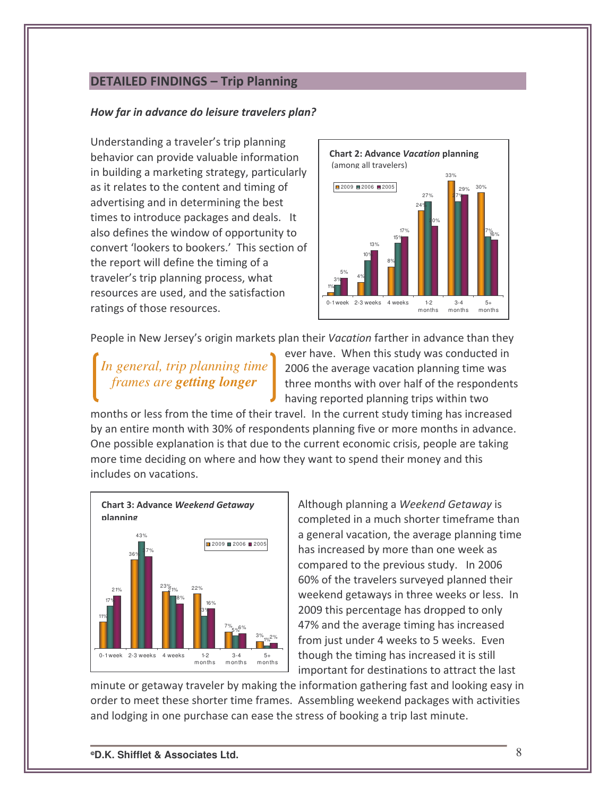## **DETAILED FINDINGS - Trip Planning**

#### How far in advance do leisure travelers plan?

Understanding a traveler's trip planning behavior can provide valuable information in building a marketing strategy, particularly as it relates to the content and timing of advertising and in determining the best times to introduce packages and deals. It also defines the window of opportunity to convert 'lookers to bookers.' This section of the report will define the timing of a traveler's trip planning process, what resources are used, and the satisfaction ratings of those resources.



People in New Jersey's origin markets plan their Vacation farther in advance than they

*In general, trip planning time frames are getting longer*

ever have. When this study was conducted in 2006 the average vacation planning time was three months with over half of the respondents having reported planning trips within two

months or less from the time of their travel. In the current study timing has increased by an entire month with 30% of respondents planning five or more months in advance. One possible explanation is that due to the current economic crisis, people are taking more time deciding on where and how they want to spend their money and this includes on vacations.



Although planning a Weekend Getaway is completed in a much shorter timeframe than a general vacation, the average planning time has increased by more than one week as compared to the previous study. In 2006 60% of the travelers surveyed planned their weekend getaways in three weeks or less. In 2009 this percentage has dropped to only 47% and the average timing has increased from just under 4 weeks to 5 weeks. Even though the timing has increased it is still important for destinations to attract the last

minute or getaway traveler by making the information gathering fast and looking easy in order to meet these shorter time frames. Assembling weekend packages with activities and lodging in one purchase can ease the stress of booking a trip last minute.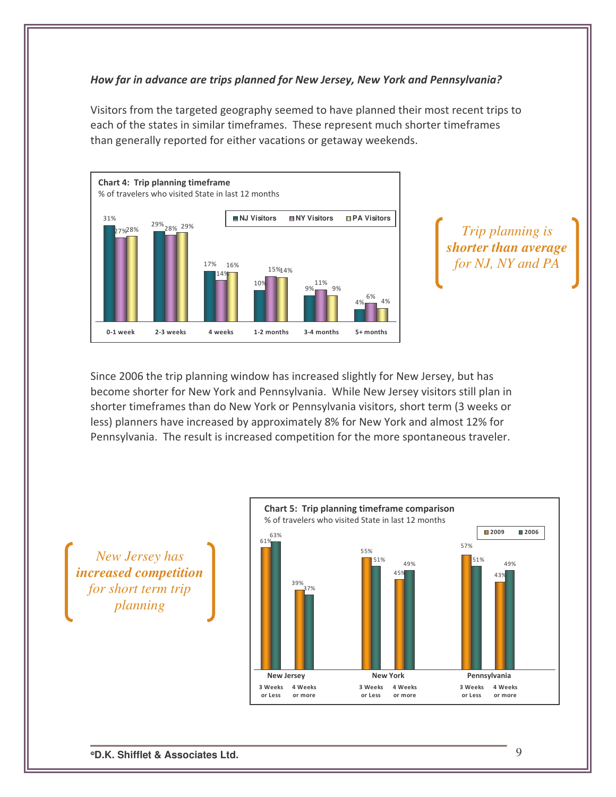## How far in advance are trips planned for New Jersey, New York and Pennsylvania?

Visitors from the targeted geography seemed to have planned their most recent trips to each of the states in similar timeframes. These represent much shorter timeframes than generally reported for either vacations or getaway weekends.



*Trip planning is shorter than average for NJ, NY and PA*

Since 2006 the trip planning window has increased slightly for New Jersey, but has become shorter for New York and Pennsylvania. While New Jersey visitors still plan in shorter timeframes than do New York or Pennsylvania visitors, short term (3 weeks or less) planners have increased by approximately 8% for New York and almost 12% for Pennsylvania. The result is increased competition for the more spontaneous traveler.

*New Jersey has increased competition for short term trip planning*

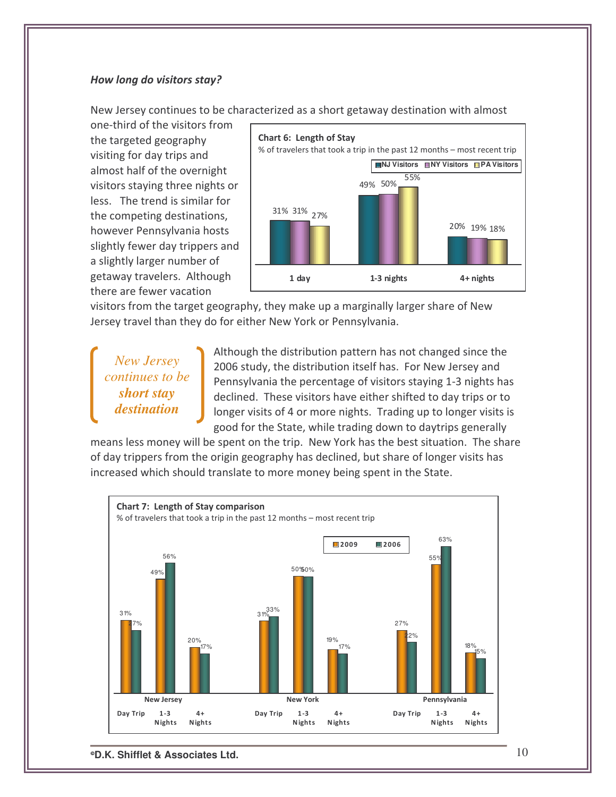#### How long do visitors stay?

New Jersey continues to be characterized as a short getaway destination with almost

one-third of the visitors from the targeted geography visiting for day trips and almost half of the overnight visitors staying three nights or less. The trend is similar for the competing destinations, however Pennsylvania hosts slightly fewer day trippers and a slightly larger number of getaway travelers. Although there are fewer vacation



visitors from the target geography, they make up a marginally larger share of New Jersey travel than they do for either New York or Pennsylvania.

# *New Jersey continues to be short stay destination*

Although the distribution pattern has not changed since the 2006 study, the distribution itself has. For New Jersey and Pennsylvania the percentage of visitors staying 1-3 nights has declined. These visitors have either shifted to day trips or to longer visits of 4 or more nights. Trading up to longer visits is good for the State, while trading down to daytrips generally

means less money will be spent on the trip. New York has the best situation. The share of day trippers from the origin geography has declined, but share of longer visits has increased which should translate to more money being spent in the State.



**D.K. Shifflet & Associates Ltd.** 10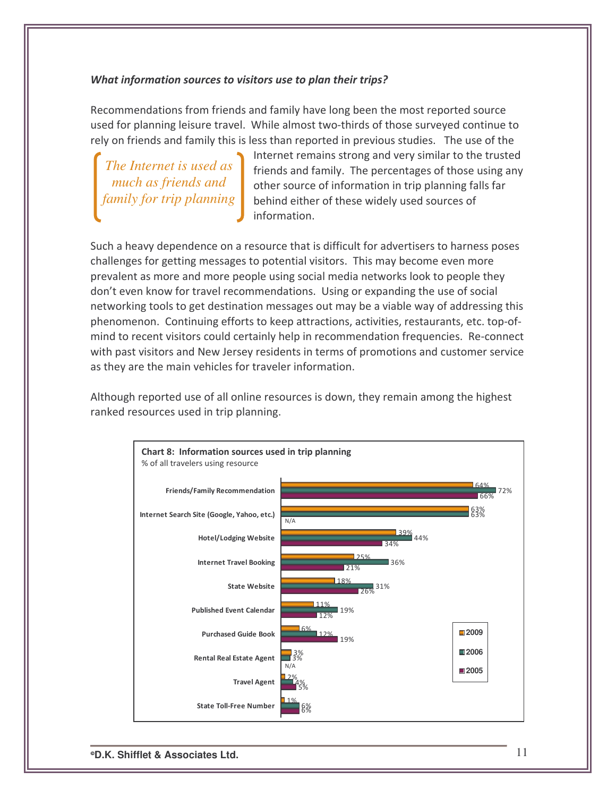#### What information sources to visitors use to plan their trips?

Recommendations from friends and family have long been the most reported source used for planning leisure travel. While almost two-thirds of those surveyed continue to rely on friends and family this is less than reported in previous studies. The use of the

*The Internet is used as much as friends and family for trip planning*

Internet remains strong and very similar to the trusted friends and family. The percentages of those using any other source of information in trip planning falls far behind either of these widely used sources of information.

Such a heavy dependence on a resource that is difficult for advertisers to harness poses challenges for getting messages to potential visitors. This may become even more prevalent as more and more people using social media networks look to people they don't even know for travel recommendations. Using or expanding the use of social networking tools to get destination messages out may be a viable way of addressing this phenomenon. Continuing efforts to keep attractions, activities, restaurants, etc. top-ofmind to recent visitors could certainly help in recommendation frequencies. Re-connect with past visitors and New Jersey residents in terms of promotions and customer service as they are the main vehicles for traveler information.

Although reported use of all online resources is down, they remain among the highest ranked resources used in trip planning.

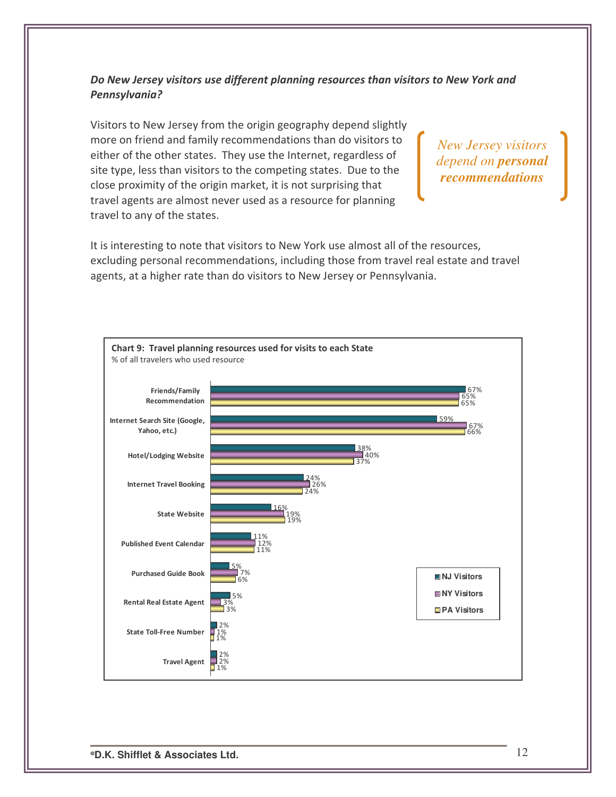## Do New Jersey visitors use different planning resources than visitors to New York and Pennsylvania?

Visitors to New Jersey from the origin geography depend slightly more on friend and family recommendations than do visitors to either of the other states. They use the Internet, regardless of site type, less than visitors to the competing states. Due to the close proximity of the origin market, it is not surprising that travel agents are almost never used as a resource for planning travel to any of the states.

*New Jersey visitors depend on personal recommendations*

It is interesting to note that visitors to New York use almost all of the resources, excluding personal recommendations, including those from travel real estate and travel agents, at a higher rate than do visitors to New Jersey or Pennsylvania.

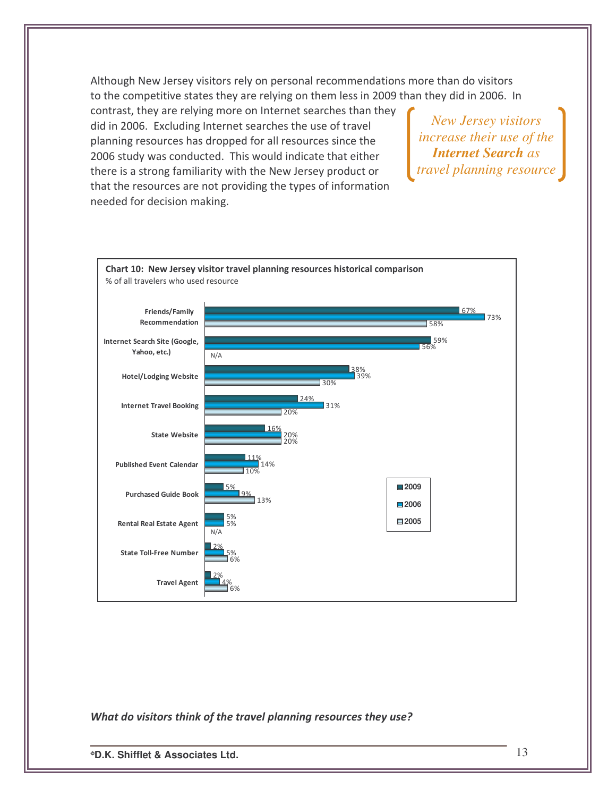Although New Jersey visitors rely on personal recommendations more than do visitors to the competitive states they are relying on them less in 2009 than they did in 2006. In

contrast, they are relying more on Internet searches than they did in 2006. Excluding Internet searches the use of travel planning resources has dropped for all resources since the 2006 study was conducted. This would indicate that either there is a strong familiarity with the New Jersey product or that the resources are not providing the types of information needed for decision making.

*New Jersey visitors increase their use of the Internet Search as travel planning resource*



What do visitors think of the travel planning resources they use?

**D.K. Shifflet & Associates Ltd.** 13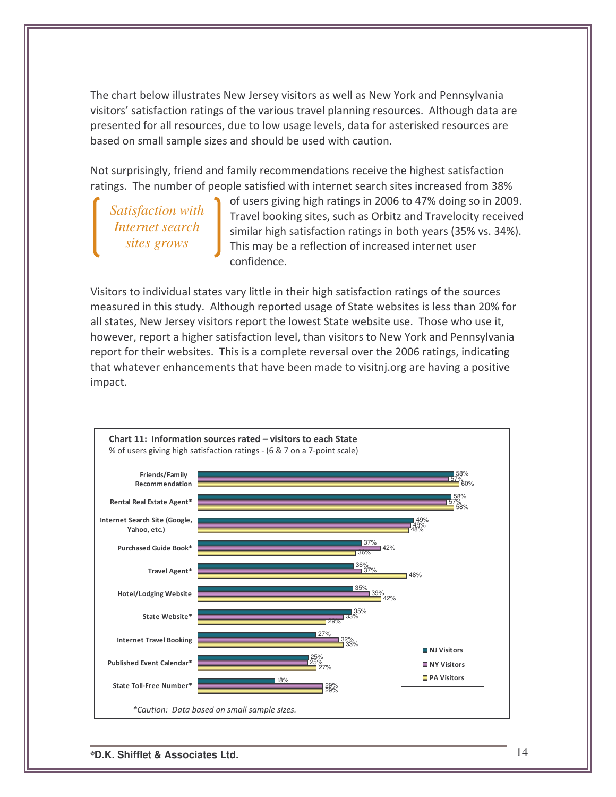The chart below illustrates New Jersey visitors as well as New York and Pennsylvania visitors' satisfaction ratings of the various travel planning resources. Although data are presented for all resources, due to low usage levels, data for asterisked resources are based on small sample sizes and should be used with caution.

Not surprisingly, friend and family recommendations receive the highest satisfaction ratings. The number of people satisfied with internet search sites increased from 38%

*Satisfaction with Internet search sites grows*

of users giving high ratings in 2006 to 47% doing so in 2009. Travel booking sites, such as Orbitz and Travelocity received similar high satisfaction ratings in both years (35% vs. 34%). This may be a reflection of increased internet user confidence.

Visitors to individual states vary little in their high satisfaction ratings of the sources measured in this study. Although reported usage of State websites is less than 20% for all states, New Jersey visitors report the lowest State website use. Those who use it, however, report a higher satisfaction level, than visitors to New York and Pennsylvania report for their websites. This is a complete reversal over the 2006 ratings, indicating that whatever enhancements that have been made to visitnj.org are having a positive impact.

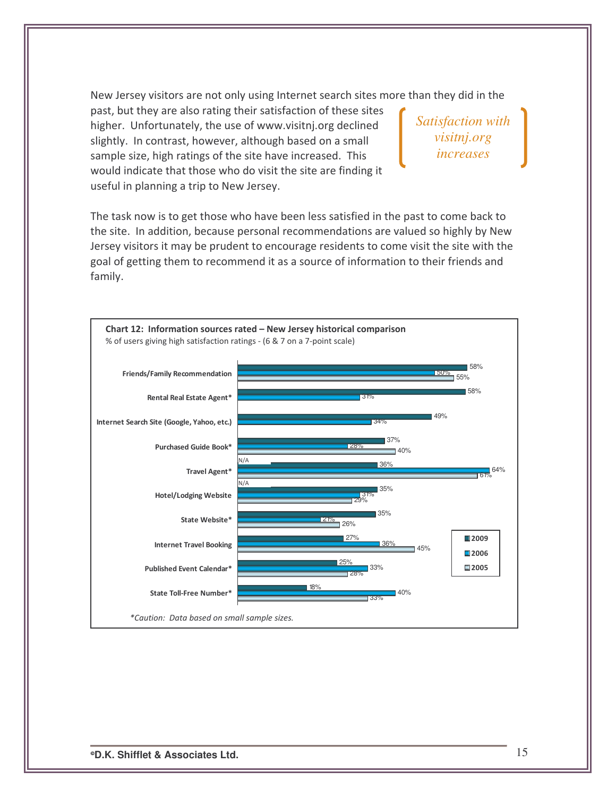New Jersey visitors are not only using Internet search sites more than they did in the

past, but they are also rating their satisfaction of these sites higher. Unfortunately, the use of www.visitnj.org declined slightly. In contrast, however, although based on a small sample size, high ratings of the site have increased. This would indicate that those who do visit the site are finding it useful in planning a trip to New Jersey.

*Satisfaction with visitnj.org increases*

The task now is to get those who have been less satisfied in the past to come back to the site. In addition, because personal recommendations are valued so highly by New Jersey visitors it may be prudent to encourage residents to come visit the site with the goal of getting them to recommend it as a source of information to their friends and family.

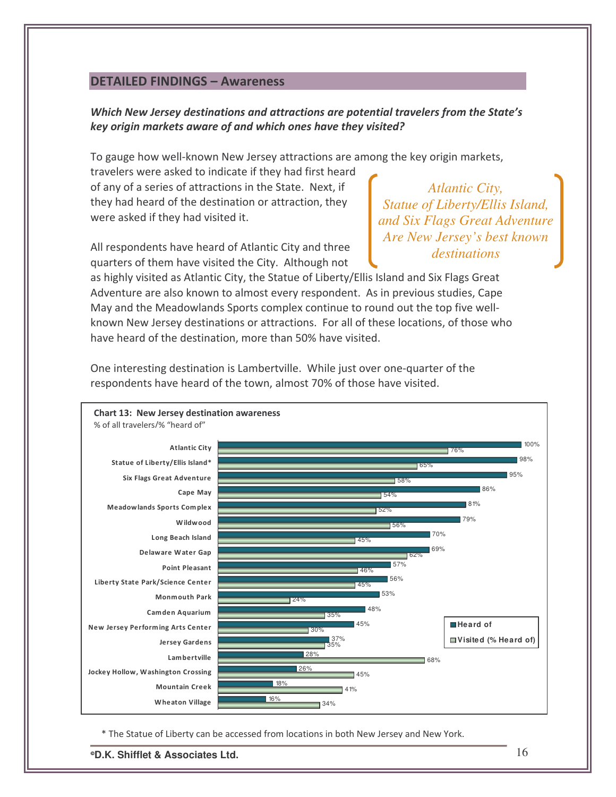## **DETAILED FINDINGS - Awareness**

## Which New Jersey destinations and attractions are potential travelers from the State's key origin markets aware of and which ones have they visited?

To gauge how well-known New Jersey attractions are among the key origin markets,

travelers were asked to indicate if they had first heard of any of a series of attractions in the State. Next, if they had heard of the destination or attraction, they were asked if they had visited it.

All respondents have heard of Atlantic City and three quarters of them have visited the City. Although not

*Atlantic City, Statue of Liberty/Ellis Island, and Six Flags Great Adventure Are New Jersey's best known destinations*

as highly visited as Atlantic City, the Statue of Liberty/Ellis Island and Six Flags Great Adventure are also known to almost every respondent. As in previous studies, Cape May and the Meadowlands Sports complex continue to round out the top five wellknown New Jersey destinations or attractions. For all of these locations, of those who have heard of the destination, more than 50% have visited.



One interesting destination is Lambertville. While just over one-quarter of the respondents have heard of the town, almost 70% of those have visited.

\* The Statue of Liberty can be accessed from locations in both New Jersey and New York.

**D.K. Shifflet & Associates Ltd.** 16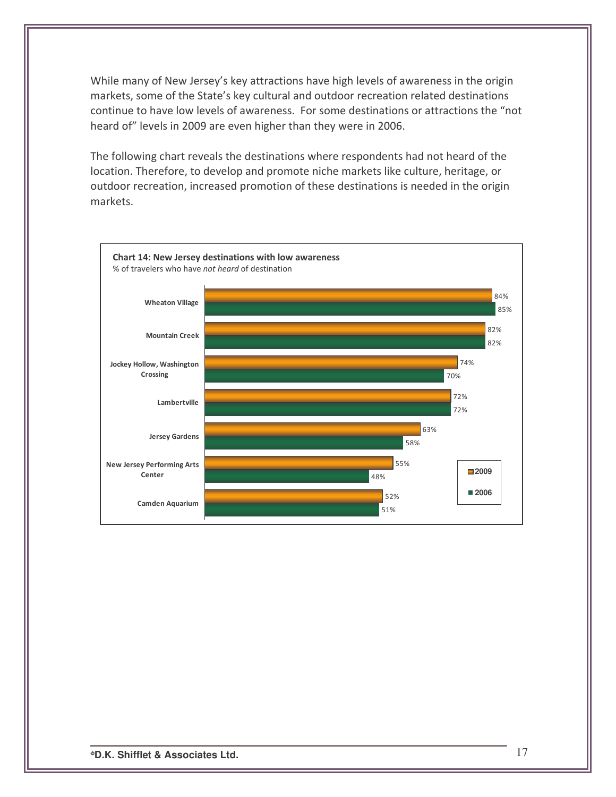While many of New Jersey's key attractions have high levels of awareness in the origin markets, some of the State's key cultural and outdoor recreation related destinations continue to have low levels of awareness. For some destinations or attractions the "not heard of" levels in 2009 are even higher than they were in 2006.

The following chart reveals the destinations where respondents had not heard of the location. Therefore, to develop and promote niche markets like culture, heritage, or outdoor recreation, increased promotion of these destinations is needed in the origin markets.

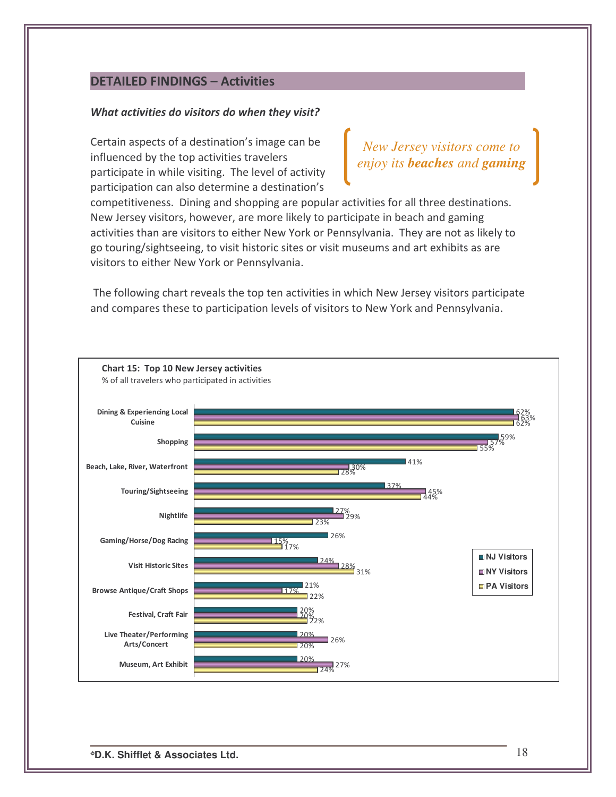## **DETAILED FINDINGS - Activities**

#### What activities do visitors do when they visit?

Certain aspects of a destination's image can be influenced by the top activities travelers participate in while visiting. The level of activity participation can also determine a destination's

*New Jersey visitors come to enjoy its beaches and gaming*

competitiveness. Dining and shopping are popular activities for all three destinations. New Jersey visitors, however, are more likely to participate in beach and gaming activities than are visitors to either New York or Pennsylvania. They are not as likely to go touring/sightseeing, to visit historic sites or visit museums and art exhibits as are visitors to either New York or Pennsylvania.

The following chart reveals the top ten activities in which New Jersey visitors participate and compares these to participation levels of visitors to New York and Pennsylvania.

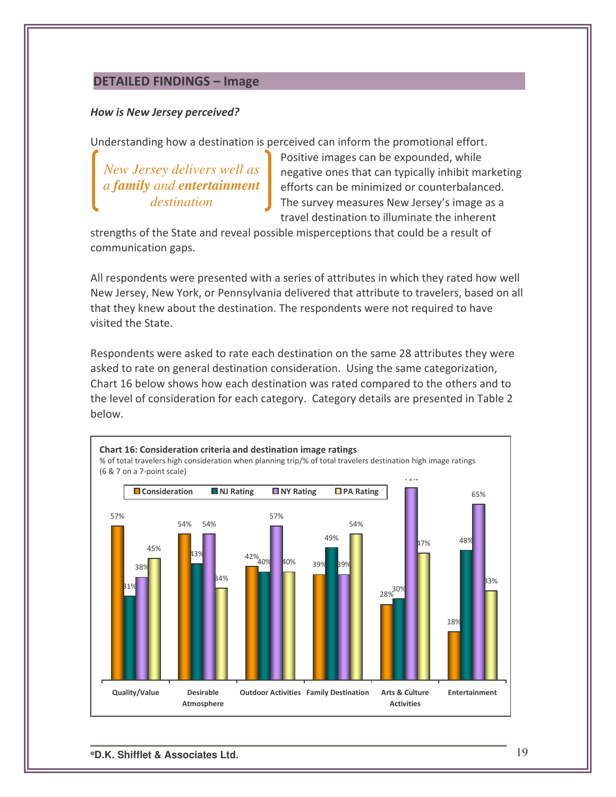## DETAILED FINDINGS - Image

#### How is New Jersey perceived?

Understanding how a destination is perceived can inform the promotional effort.

*New Jersey delivers well as a family and entertainment destination*

Positive images can be expounded, while negative ones that can typically inhibit marketing efforts can be minimized or counterbalanced. The survey measures New Jersey's image as a travel destination to illuminate the inherent

strengths of the State and reveal possible misperceptions that could be a result of communication gaps.

All respondents were presented with a series of attributes in which they rated how well New Jersey, New York, or Pennsylvania delivered that attribute to travelers, based on all that they knew about the destination. The respondents were not required to have visited the State.

Respondents were asked to rate each destination on the same 28 attributes they were asked to rate on general destination consideration. Using the same categorization, Chart 16 below shows how each destination was rated compared to the others and to the level of consideration for each category. Category details are presented in Table 2 below.



**D.K. Shifflet & Associates Ltd.** 19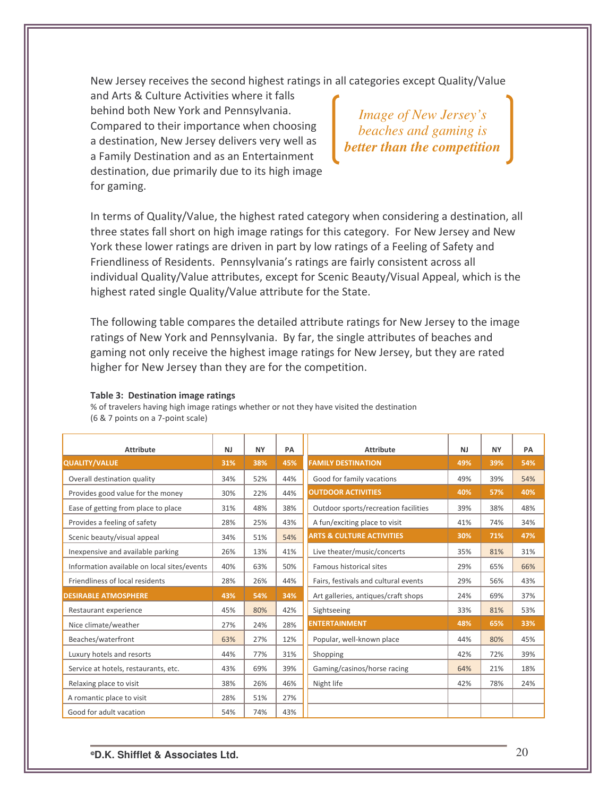New Jersey receives the second highest ratings in all categories except Quality/Value

and Arts & Culture Activities where it falls behind both New York and Pennsylvania. Compared to their importance when choosing a destination, New Jersey delivers very well as a Family Destination and as an Entertainment destination, due primarily due to its high image for gaming.

*Image of New Jersey's beaches and gaming is better than the competition*

In terms of Quality/Value, the highest rated category when considering a destination, all three states fall short on high image ratings for this category. For New Jersey and New York these lower ratings are driven in part by low ratings of a Feeling of Safety and Friendliness of Residents. Pennsylvania's ratings are fairly consistent across all individual Quality/Value attributes, except for Scenic Beauty/Visual Appeal, which is the highest rated single Quality/Value attribute for the State.

The following table compares the detailed attribute ratings for New Jersey to the image ratings of New York and Pennsylvania. By far, the single attributes of beaches and gaming not only receive the highest image ratings for New Jersey, but they are rated higher for New Jersey than they are for the competition.

| <b>Attribute</b>                            | <b>NJ</b> | <b>NY</b> | PA  | <b>Attribute</b>                     | <b>NJ</b> | <b>NY</b> | PA  |
|---------------------------------------------|-----------|-----------|-----|--------------------------------------|-----------|-----------|-----|
| <b>QUALITY/VALUE</b>                        | 31%       | 38%       | 45% | <b>FAMILY DESTINATION</b>            | 49%       | 39%       | 54% |
| Overall destination quality                 | 34%       | 52%       | 44% | Good for family vacations            | 49%       | 39%       | 54% |
| Provides good value for the money           | 30%       | 22%       | 44% | <b>OUTDOOR ACTIVITIES</b>            | 40%       | 57%       | 40% |
| Ease of getting from place to place         | 31%       | 48%       | 38% | Outdoor sports/recreation facilities | 39%       | 38%       | 48% |
| Provides a feeling of safety                | 28%       | 25%       | 43% | A fun/exciting place to visit        | 41%       | 74%       | 34% |
| Scenic beauty/visual appeal                 | 34%       | 51%       | 54% | <b>ARTS &amp; CULTURE ACTIVITIES</b> | 30%       | 71%       | 47% |
| Inexpensive and available parking           | 26%       | 13%       | 41% | Live theater/music/concerts          | 35%       | 81%       | 31% |
| Information available on local sites/events | 40%       | 63%       | 50% | Famous historical sites              | 29%       | 65%       | 66% |
| Friendliness of local residents             | 28%       | 26%       | 44% | Fairs, festivals and cultural events | 29%       | 56%       | 43% |
| <b>DESIRABLE ATMOSPHERE</b>                 | 43%       | 54%       | 34% | Art galleries, antiques/craft shops  | 24%       | 69%       | 37% |
| Restaurant experience                       | 45%       | 80%       | 42% | Sightseeing                          | 33%       | 81%       | 53% |
| Nice climate/weather                        | 27%       | 24%       | 28% | <b>ENTERTAINMENT</b>                 | 48%       | 65%       | 33% |
| Beaches/waterfront                          | 63%       | 27%       | 12% | Popular, well-known place            | 44%       | 80%       | 45% |
| Luxury hotels and resorts                   | 44%       | 77%       | 31% | Shopping                             | 42%       | 72%       | 39% |
| Service at hotels, restaurants, etc.        | 43%       | 69%       | 39% | Gaming/casinos/horse racing          | 64%       | 21%       | 18% |
| Relaxing place to visit                     | 38%       | 26%       | 46% | Night life                           | 42%       | 78%       | 24% |
| A romantic place to visit                   | 28%       | 51%       | 27% |                                      |           |           |     |
| Good for adult vacation                     | 54%       | 74%       | 43% |                                      |           |           |     |

#### Table 3: Destination image ratings

% of travelers having high image ratings whether or not they have visited the destination (6 & 7 points on a 7-point scale)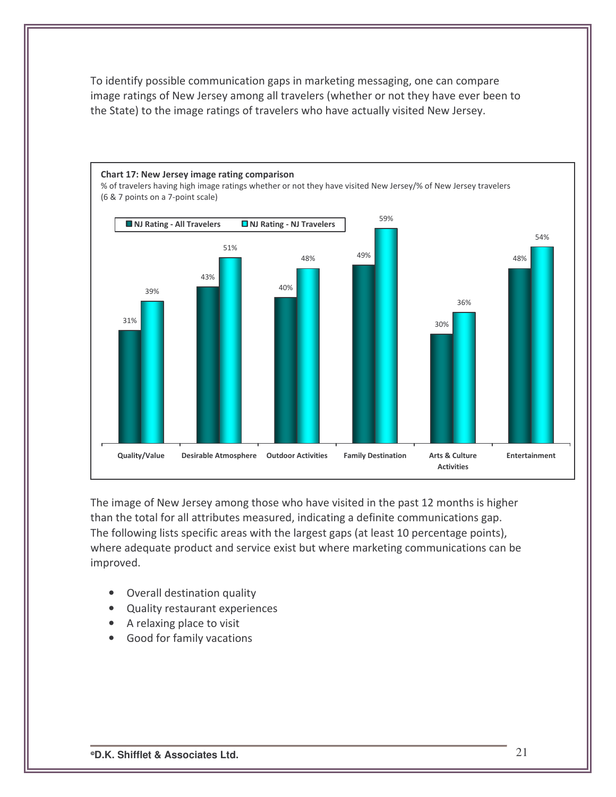To identify possible communication gaps in marketing messaging, one can compare image ratings of New Jersey among all travelers (whether or not they have ever been to the State) to the image ratings of travelers who have actually visited New Jersey.



The image of New Jersey among those who have visited in the past 12 months is higher than the total for all attributes measured, indicating a definite communications gap. The following lists specific areas with the largest gaps (at least 10 percentage points), where adequate product and service exist but where marketing communications can be improved.

- Overall destination quality
- Quality restaurant experiences
- A relaxing place to visit
- Good for family vacations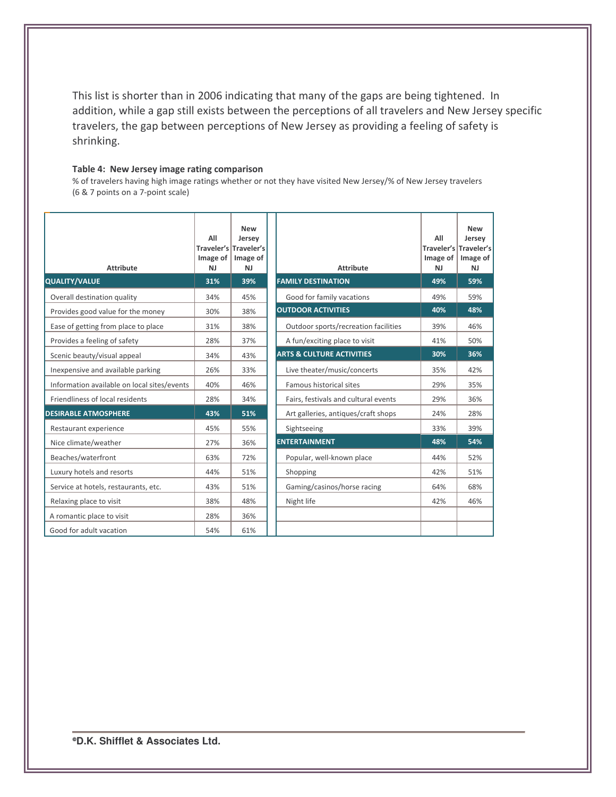This list is shorter than in 2006 indicating that many of the gaps are being tightened. In addition, while a gap still exists between the perceptions of all travelers and New Jersey specific travelers, the gap between perceptions of New Jersey as providing a feeling of safety is shrinking.

#### Table 4: New Jersey image rating comparison

% of travelers having high image ratings whether or not they have visited New Jersey/% of New Jersey travelers (6 & 7 points on a 7-point scale)

| <b>Attribute</b><br><b>QUALITY/VALUE</b>    | All<br>Image of<br><b>NJ</b><br>31% | <b>New</b><br>Jersey<br>Traveler's Traveler's<br>Image of<br><b>NJ</b><br>39% | <b>Attribute</b><br><b>FAMILY DESTINATION</b> | All<br><b>Traveler's Traveler's</b><br>Image of $\vert$<br><b>NJ</b><br>49% | <b>New</b><br>Jersey<br>Image of<br><b>NJ</b><br>59% |
|---------------------------------------------|-------------------------------------|-------------------------------------------------------------------------------|-----------------------------------------------|-----------------------------------------------------------------------------|------------------------------------------------------|
|                                             | 34%                                 | 45%                                                                           |                                               | 49%                                                                         | 59%                                                  |
| Overall destination quality                 |                                     |                                                                               | Good for family vacations                     | 40%                                                                         | 48%                                                  |
| Provides good value for the money           | 30%                                 | 38%                                                                           | <b>OUTDOOR ACTIVITIES</b>                     |                                                                             |                                                      |
| Ease of getting from place to place         | 31%                                 | 38%                                                                           | Outdoor sports/recreation facilities          | 39%                                                                         | 46%                                                  |
| Provides a feeling of safety                | 28%                                 | 37%                                                                           | A fun/exciting place to visit                 | 41%                                                                         | 50%                                                  |
| Scenic beauty/visual appeal                 | 34%                                 | 43%                                                                           | <b>ARTS &amp; CULTURE ACTIVITIES</b>          | 30%                                                                         | 36%                                                  |
| Inexpensive and available parking           | 26%                                 | 33%                                                                           | Live theater/music/concerts                   | 35%                                                                         | 42%                                                  |
| Information available on local sites/events | 40%                                 | 46%                                                                           | Famous historical sites                       | 29%                                                                         | 35%                                                  |
| Friendliness of local residents             | 28%                                 | 34%                                                                           | Fairs, festivals and cultural events          | 29%                                                                         | 36%                                                  |
| <b>DESIRABLE ATMOSPHERE</b>                 | 43%                                 | 51%                                                                           | Art galleries, antiques/craft shops           | 24%                                                                         | 28%                                                  |
| Restaurant experience                       | 45%                                 | 55%                                                                           | Sightseeing                                   | 33%                                                                         | 39%                                                  |
| Nice climate/weather                        | 27%                                 | 36%                                                                           | <b>ENTERTAINMENT</b>                          | 48%                                                                         | 54%                                                  |
| Beaches/waterfront                          | 63%                                 | 72%                                                                           | Popular, well-known place                     | 44%                                                                         | 52%                                                  |
| Luxury hotels and resorts                   | 44%                                 | 51%                                                                           | Shopping                                      | 42%                                                                         | 51%                                                  |
| Service at hotels, restaurants, etc.        | 43%                                 | 51%                                                                           | Gaming/casinos/horse racing                   | 64%                                                                         | 68%                                                  |
| Relaxing place to visit                     | 38%                                 | 48%                                                                           | Night life                                    | 42%                                                                         | 46%                                                  |
| A romantic place to visit                   | 28%                                 | 36%                                                                           |                                               |                                                                             |                                                      |
| Good for adult vacation                     | 54%                                 | 61%                                                                           |                                               |                                                                             |                                                      |

**D.K. Shifflet & Associates Ltd.**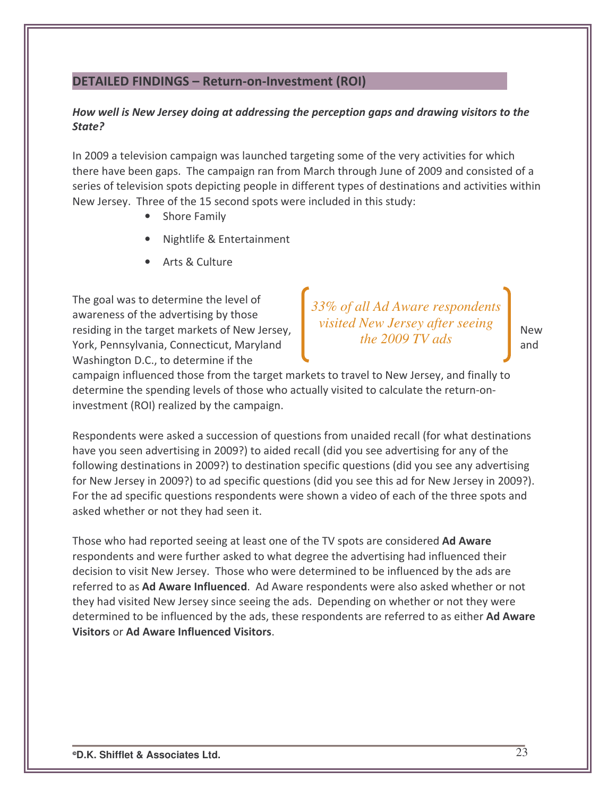## **DETAILED FINDINGS - Return-on-Investment (ROI)**

### How well is New Jersey doing at addressing the perception gaps and drawing visitors to the State?

In 2009 a television campaign was launched targeting some of the very activities for which there have been gaps. The campaign ran from March through June of 2009 and consisted of a series of television spots depicting people in different types of destinations and activities within New Jersey. Three of the 15 second spots were included in this study:

- Shore Family  $\bullet$
- Nightlife & Entertainment
- Arts & Culture

The goal was to determine the level of awareness of the advertising by those residing in the target markets of New Jersey, York, Pennsylvania, Connecticut, Maryland Washington D.C., to determine if the

33% of all Ad Aware respondents visited New Jersey after seeing the 2009  $TV$  ads

**New** and

campaign influenced those from the target markets to travel to New Jersey, and finally to determine the spending levels of those who actually visited to calculate the return-oninvestment (ROI) realized by the campaign.

Respondents were asked a succession of questions from unaided recall (for what destinations have you seen advertising in 2009?) to aided recall (did you see advertising for any of the following destinations in 2009?) to destination specific questions (did you see any advertising for New Jersey in 2009?) to ad specific questions (did you see this ad for New Jersey in 2009?). For the ad specific questions respondents were shown a video of each of the three spots and asked whether or not they had seen it.

Those who had reported seeing at least one of the TV spots are considered Ad Aware respondents and were further asked to what degree the advertising had influenced their decision to visit New Jersey. Those who were determined to be influenced by the ads are referred to as Ad Aware Influenced. Ad Aware respondents were also asked whether or not they had visited New Jersey since seeing the ads. Depending on whether or not they were determined to be influenced by the ads, these respondents are referred to as either Ad Aware **Visitors or Ad Aware Influenced Visitors.**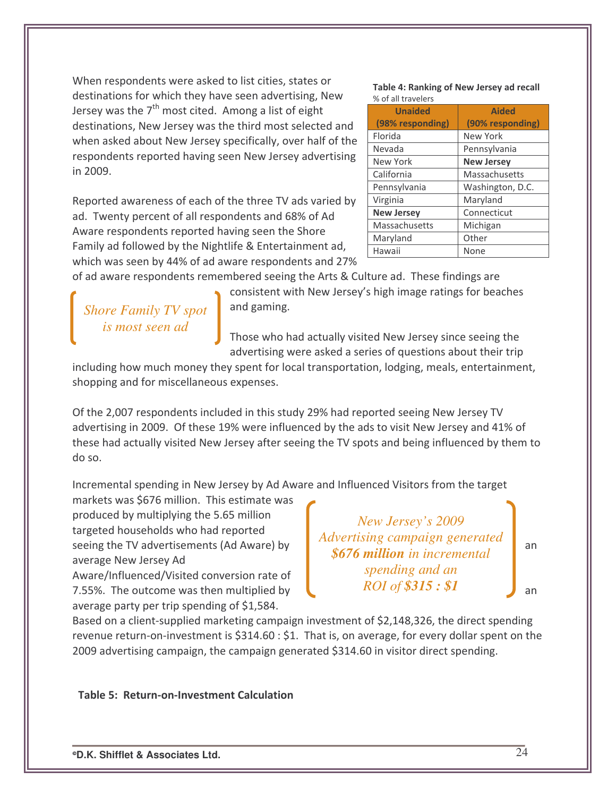When respondents were asked to list cities, states or destinations for which they have seen advertising, New Jersey was the  $7^{\text{th}}$  most cited. Among a list of eight destinations, New Jersey was the third most selected and when asked about New Jersey specifically, over half of the respondents reported having seen New Jersey advertising in 2009.

Reported awareness of each of the three TV ads varied by ad. Twenty percent of all respondents and 68% of Ad Aware respondents reported having seen the Shore Family ad followed by the Nightlife & Entertainment ad, which was seen by 44% of ad aware respondents and 27% Table 4: Ranking of New Jersey ad recall  $\alpha$  of all travelers

| <b>Aided</b>      |
|-------------------|
| (90% responding)  |
| New York          |
| Pennsylvania      |
| <b>New Jersey</b> |
| Massachusetts     |
| Washington, D.C.  |
| Maryland          |
| Connecticut       |
| Michigan          |
| Other             |
| None              |
|                   |

of ad aware respondents remembered seeing the Arts & Culture ad. These findings are

*Shore Family TV spot is most seen ad*

consistent with New Jersey's high image ratings for beaches and gaming.

Those who had actually visited New Jersey since seeing the advertising were asked a series of questions about their trip

including how much money they spent for local transportation, lodging, meals, entertainment, shopping and for miscellaneous expenses.

Of the 2,007 respondents included in this study 29% had reported seeing New Jersey TV advertising in 2009. Of these 19% were influenced by the ads to visit New Jersey and 41% of these had actually visited New Jersey after seeing the TV spots and being influenced by them to do so.

Incremental spending in New Jersey by Ad Aware and Influenced Visitors from the target

markets was \$676 million. This estimate was produced by multiplying the 5.65 million targeted households who had reported seeing the TV advertisements (Ad Aware) by  $\frac{1}{2}$  and  $\frac{1}{2}$  and  $\frac{1}{2}$  and  $\frac{1}{2}$  and  $\frac{1}{2}$  and  $\frac{1}{2}$  and  $\frac{1}{2}$  and  $\frac{1}{2}$  and  $\frac{1}{2}$  and  $\frac{1}{2}$  and  $\frac{1}{2}$  and  $\frac{1}{2}$  and  $\frac{1}{2}$  average New Jersey Ad

Aware/Influenced/Visited conversion rate of 7.55%. The outcome was then multiplied by  $\overline{A}$  and  $\overline{A}$  and  $\overline{A}$  and  $\overline{A}$  and  $\overline{A}$  and  $\overline{A}$  and  $\overline{A}$  and  $\overline{A}$  and  $\overline{A}$  and  $\overline{A}$  and  $\overline{A}$  and  $\overline{A}$  and  $\overline{A}$  and  $\overline{A}$  a average party per trip spending of  $$1,584$ .

*New Jersey's 2009 Advertising campaign generated \$676 million in incremental spending and an ROI of \$315 : \$1*

Based on a client-supplied marketing campaign investment of \$2,148,326, the direct spending revenue return-on-investment is \$314.60 : \$1. That is, on average, for every dollar spent on the 2009 advertising campaign, the campaign generated \$314.60 in visitor direct spending.

Table 5: Return-on-Investment Calculation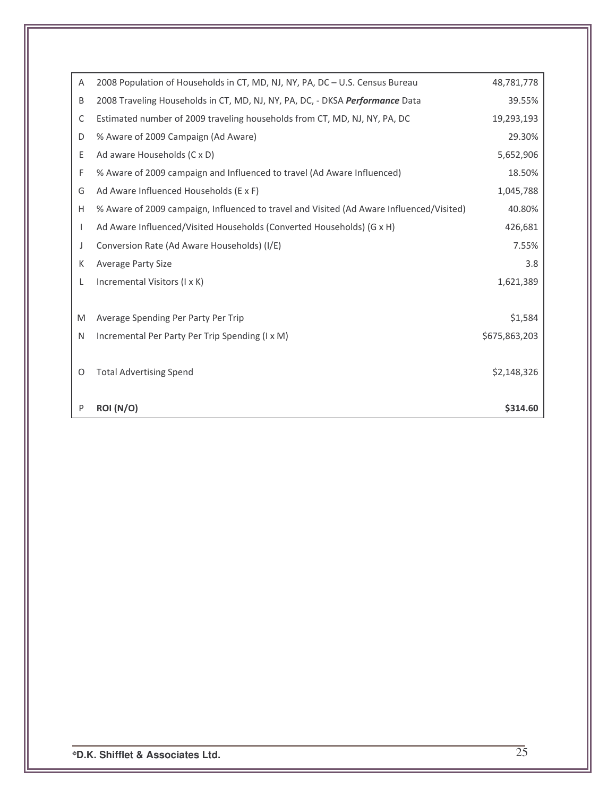| Α            | 2008 Population of Households in CT, MD, NJ, NY, PA, DC - U.S. Census Bureau             | 48,781,778    |
|--------------|------------------------------------------------------------------------------------------|---------------|
| B            | 2008 Traveling Households in CT, MD, NJ, NY, PA, DC, - DKSA Performance Data             | 39.55%        |
| C            | Estimated number of 2009 traveling households from CT, MD, NJ, NY, PA, DC                | 19,293,193    |
| D            | % Aware of 2009 Campaign (Ad Aware)                                                      | 29.30%        |
| Ε            | Ad aware Households (C x D)                                                              | 5,652,906     |
| F            | % Aware of 2009 campaign and Influenced to travel (Ad Aware Influenced)                  | 18.50%        |
| G            | Ad Aware Influenced Households (E x F)                                                   | 1,045,788     |
| Н            | % Aware of 2009 campaign, Influenced to travel and Visited (Ad Aware Influenced/Visited) | 40.80%        |
| $\mathbf{I}$ | Ad Aware Influenced/Visited Households (Converted Households) (G x H)                    | 426,681       |
| J            | Conversion Rate (Ad Aware Households) (I/E)                                              | 7.55%         |
| К            | <b>Average Party Size</b>                                                                | 3.8           |
| L            | Incremental Visitors (I x K)                                                             | 1,621,389     |
|              |                                                                                          |               |
| M            | Average Spending Per Party Per Trip                                                      | \$1,584       |
| N            | Incremental Per Party Per Trip Spending (I x M)                                          | \$675,863,203 |
|              |                                                                                          |               |
| 0            | <b>Total Advertising Spend</b>                                                           | \$2,148,326   |
|              |                                                                                          |               |
| P            | <b>ROI</b> (N/O)                                                                         | \$314.60      |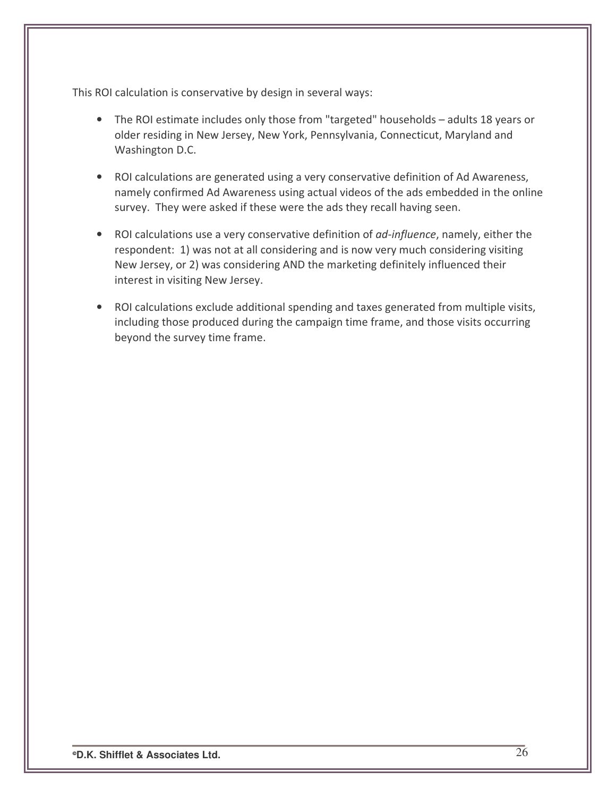This ROI calculation is conservative by design in several ways:

- The ROI estimate includes only those from "targeted" households adults 18 years or older residing in New Jersey, New York, Pennsylvania, Connecticut, Maryland and Washington D.C.
- ROI calculations are generated using a very conservative definition of Ad Awareness, namely confirmed Ad Awareness using actual videos of the ads embedded in the online survey. They were asked if these were the ads they recall having seen.
- ROI calculations use a very conservative definition of ad-influence, namely, either the respondent: 1) was not at all considering and is now very much considering visiting New Jersey, or 2) was considering AND the marketing definitely influenced their interest in visiting New Jersey.
- ROI calculations exclude additional spending and taxes generated from multiple visits, including those produced during the campaign time frame, and those visits occurring beyond the survey time frame.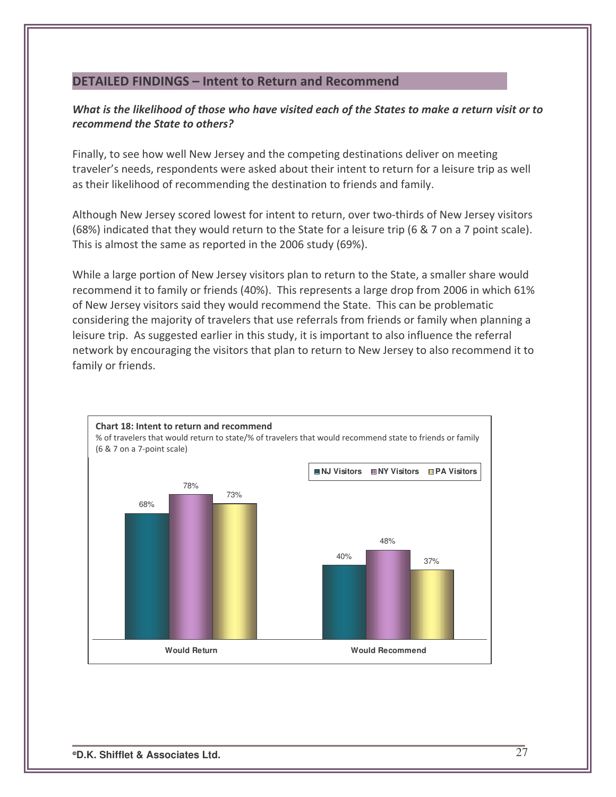## DETAILED FINDINGS - Intent to Return and Recommend

## What is the likelihood of those who have visited each of the States to make a return visit or to recommend the State to others?

Finally, to see how well New Jersey and the competing destinations deliver on meeting traveler's needs, respondents were asked about their intent to return for a leisure trip as well as their likelihood of recommending the destination to friends and family.

Although New Jersey scored lowest for intent to return, over two-thirds of New Jersey visitors (68%) indicated that they would return to the State for a leisure trip (6  $\&$  7 on a 7 point scale). This is almost the same as reported in the 2006 study (69%).

While a large portion of New Jersey visitors plan to return to the State, a smaller share would recommend it to family or friends (40%). This represents a large drop from 2006 in which 61% of New Jersey visitors said they would recommend the State. This can be problematic considering the majority of travelers that use referrals from friends or family when planning a leisure trip. As suggested earlier in this study, it is important to also influence the referral network by encouraging the visitors that plan to return to New Jersey to also recommend it to family or friends.

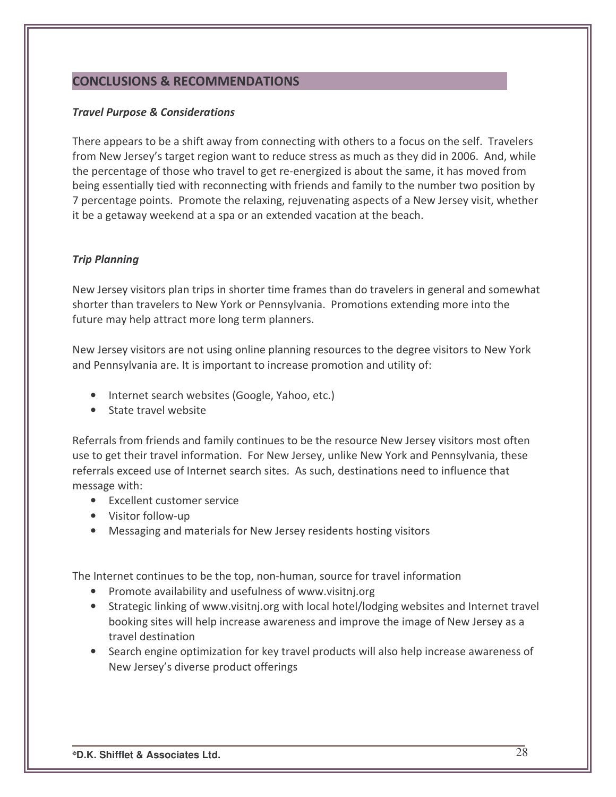## **CONCLUSIONS & RECOMMENDATIONS**

#### **Travel Purpose & Considerations**

There appears to be a shift away from connecting with others to a focus on the self. Travelers from New Jersey's target region want to reduce stress as much as they did in 2006. And, while the percentage of those who travel to get re-energized is about the same, it has moved from being essentially tied with reconnecting with friends and family to the number two position by 7 percentage points. Promote the relaxing, rejuvenating aspects of a New Jersey visit, whether it be a getaway weekend at a spa or an extended vacation at the beach.

### **Trip Planning**

New Jersey visitors plan trips in shorter time frames than do travelers in general and somewhat shorter than travelers to New York or Pennsylvania. Promotions extending more into the future may help attract more long term planners.

New Jersey visitors are not using online planning resources to the degree visitors to New York and Pennsylvania are. It is important to increase promotion and utility of:

- Internet search websites (Google, Yahoo, etc.)
- State travel website

Referrals from friends and family continues to be the resource New Jersey visitors most often use to get their travel information. For New Jersey, unlike New York and Pennsylvania, these referrals exceed use of Internet search sites. As such, destinations need to influence that message with:

- Excellent customer service
- Visitor follow-up
- Messaging and materials for New Jersey residents hosting visitors

The Internet continues to be the top, non-human, source for travel information

- Promote availability and usefulness of www.visitnj.org
- Strategic linking of www.visitnj.org with local hotel/lodging websites and Internet travel booking sites will help increase awareness and improve the image of New Jersey as a travel destination
- Search engine optimization for key travel products will also help increase awareness of New Jersey's diverse product offerings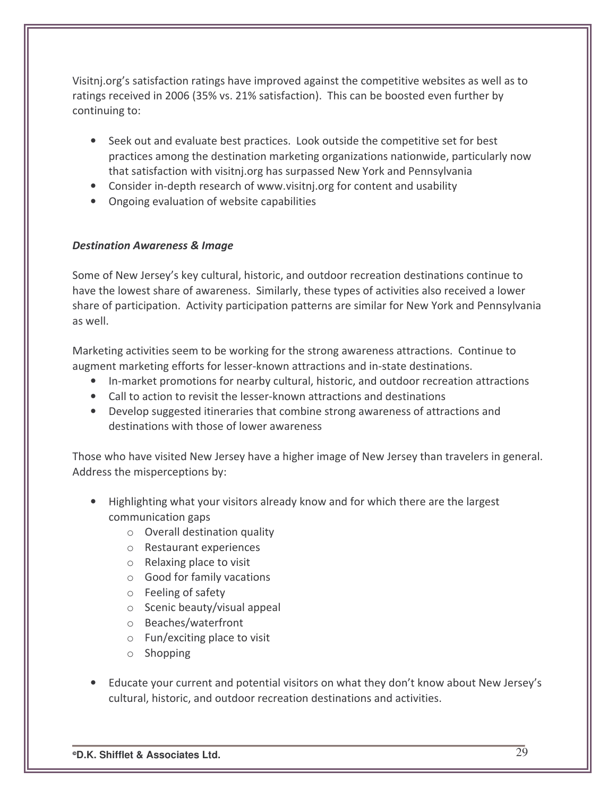Visitnj.org's satisfaction ratings have improved against the competitive websites as well as to ratings received in 2006 (35% vs. 21% satisfaction). This can be boosted even further by continuing to:

- Seek out and evaluate best practices. Look outside the competitive set for best practices among the destination marketing organizations nationwide, particularly now that satisfaction with visitnj.org has surpassed New York and Pennsylvania
- Consider in-depth research of www.visitnj.org for content and usability
- Ongoing evaluation of website capabilities

## **Destination Awareness & Image**

Some of New Jersey's key cultural, historic, and outdoor recreation destinations continue to have the lowest share of awareness. Similarly, these types of activities also received a lower share of participation. Activity participation patterns are similar for New York and Pennsylvania as well.

Marketing activities seem to be working for the strong awareness attractions. Continue to augment marketing efforts for lesser-known attractions and in-state destinations.

- In-market promotions for nearby cultural, historic, and outdoor recreation attractions
- Call to action to revisit the lesser-known attractions and destinations
- Develop suggested itineraries that combine strong awareness of attractions and destinations with those of lower awareness

Those who have visited New Jersey have a higher image of New Jersey than travelers in general. Address the misperceptions by:

- Highlighting what your visitors already know and for which there are the largest communication gaps
	- $\circ$  Overall destination quality
	- o Restaurant experiences
	- $\circ$  Relaxing place to visit
	- $\circ$  Good for family vacations
	- $\circ$  Feeling of safety
	- $\circ$  Scenic beauty/visual appeal
	- o Beaches/waterfront
	- $\circ$  Fun/exciting place to visit
	- $\circ$  Shopping
- Educate your current and potential visitors on what they don't know about New Jersey's cultural, historic, and outdoor recreation destinations and activities.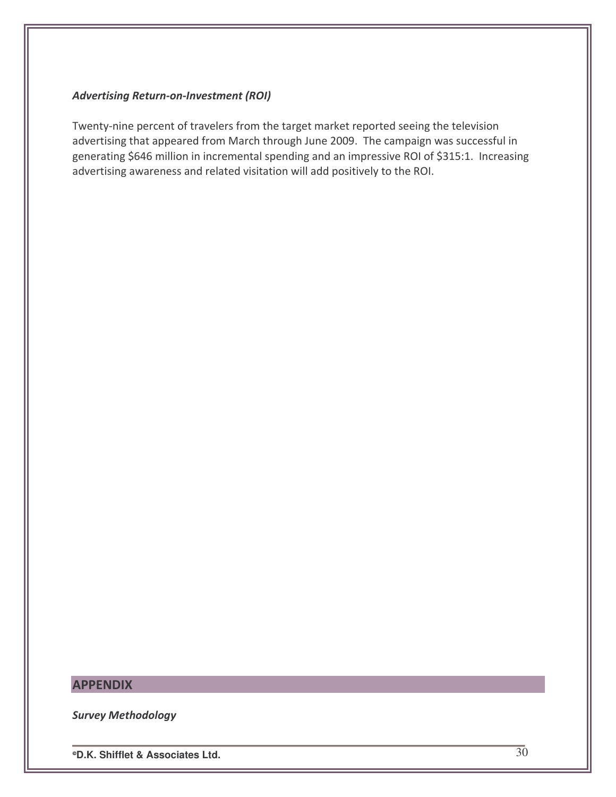#### **Advertising Return-on-Investment (ROI)**

Twenty-nine percent of travelers from the target market reported seeing the television advertising that appeared from March through June 2009. The campaign was successful in generating \$646 million in incremental spending and an impressive ROI of \$315:1. Increasing advertising awareness and related visitation will add positively to the ROI.

## **APPENDIX**

**Survey Methodology** 

<sup>o</sup>D.K. Shifflet & Associates Ltd.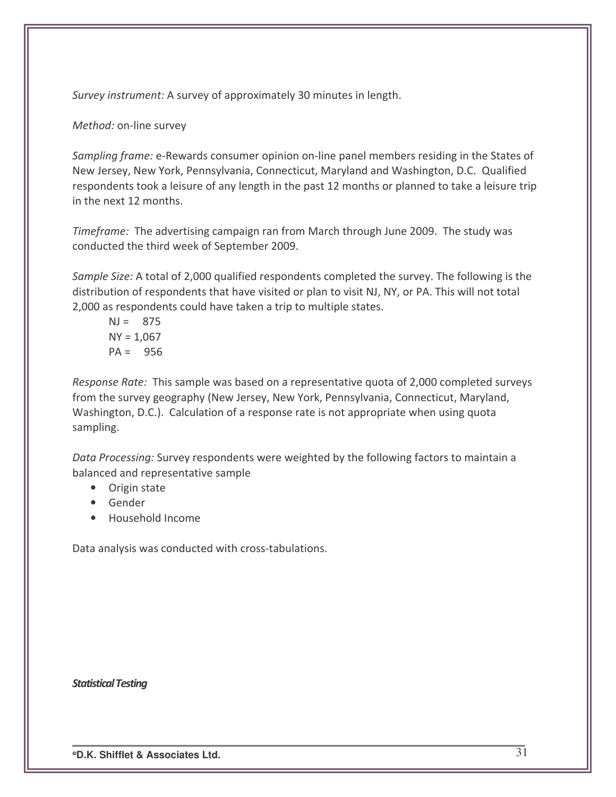Survey instrument: A survey of approximately 30 minutes in length.

Method: on-line survey

Sampling frame: e-Rewards consumer opinion on-line panel members residing in the States of New Jersey, New York, Pennsylvania, Connecticut, Maryland and Washington, D.C. Qualified respondents took a leisure of any length in the past 12 months or planned to take a leisure trip in the next 12 months.

Timeframe: The advertising campaign ran from March through June 2009. The study was conducted the third week of September 2009.

Sample Size: A total of 2,000 qualified respondents completed the survey. The following is the distribution of respondents that have visited or plan to visit NJ, NY, or PA. This will not total 2,000 as respondents could have taken a trip to multiple states.

$$
NJ = 875
$$
  
\n $NY = 1,067$   
\n $PA = 956$ 

Response Rate: This sample was based on a representative quota of 2,000 completed surveys from the survey geography (New Jersey, New York, Pennsylvania, Connecticut, Maryland, Washington, D.C.). Calculation of a response rate is not appropriate when using quota sampling.

Data Processing: Survey respondents were weighted by the following factors to maintain a balanced and representative sample

- Origin state
- Gender
- Household Income

Data analysis was conducted with cross-tabulations.

**Statistical Testing**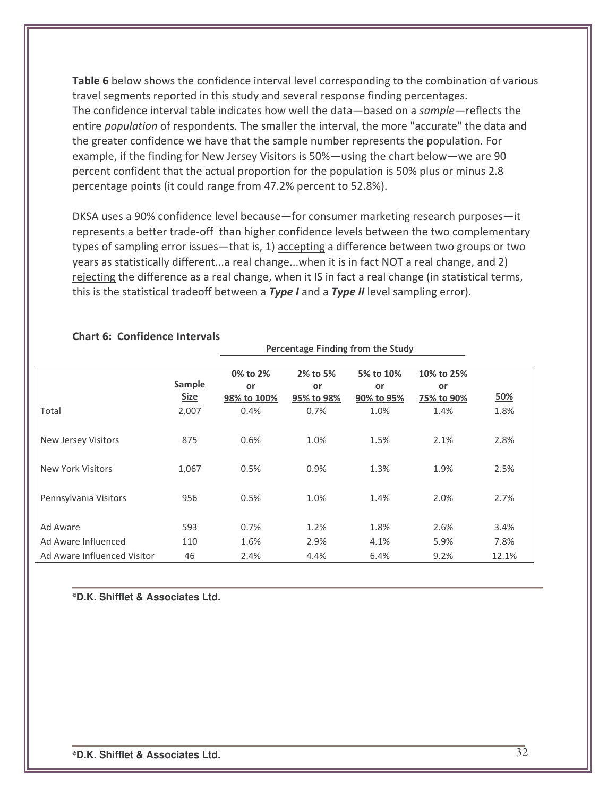Table 6 below shows the confidence interval level corresponding to the combination of various travel segments reported in this study and several response finding percentages. The confidence interval table indicates how well the data—based on a sample—reflects the entire *population* of respondents. The smaller the interval, the more "accurate" the data and the greater confidence we have that the sample number represents the population. For example, if the finding for New Jersey Visitors is  $50\%$ —using the chart below—we are 90 percent confident that the actual proportion for the population is 50% plus or minus 2.8 percentage points (it could range from 47.2% percent to 52.8%).

DKSA uses a 90% confidence level because—for consumer marketing research purposes—it represents a better trade-off than higher confidence levels between the two complementary types of sampling error issues—that is,  $1)$  accepting a difference between two groups or two years as statistically different...a real change...when it is in fact NOT a real change, and 2) rejecting the difference as a real change, when it IS in fact a real change (in statistical terms, this is the statistical tradeoff between a  $Type I$  and a  $Type II$  level sampling error).

|                             |                       |                                      | Percentage Finding from the Study |                               |                                |       |
|-----------------------------|-----------------------|--------------------------------------|-----------------------------------|-------------------------------|--------------------------------|-------|
|                             | Sample<br><b>Size</b> | 0% to 2%<br><b>or</b><br>98% to 100% | 2% to 5%<br>or<br>95% to 98%      | 5% to 10%<br>or<br>90% to 95% | 10% to 25%<br>or<br>75% to 90% | 50%   |
| Total                       | 2,007                 | 0.4%                                 | 0.7%                              | 1.0%                          | 1.4%                           | 1.8%  |
| New Jersey Visitors         | 875                   | 0.6%                                 | 1.0%                              | 1.5%                          | 2.1%                           | 2.8%  |
| New York Visitors           | 1,067                 | 0.5%                                 | 0.9%                              | 1.3%                          | 1.9%                           | 2.5%  |
| Pennsylvania Visitors       | 956                   | 0.5%                                 | 1.0%                              | 1.4%                          | 2.0%                           | 2.7%  |
| Ad Aware                    | 593                   | 0.7%                                 | 1.2%                              | 1.8%                          | 2.6%                           | 3.4%  |
| Ad Aware Influenced         | 110                   | 1.6%                                 | 2.9%                              | 4.1%                          | 5.9%                           | 7.8%  |
| Ad Aware Influenced Visitor | 46                    | 2.4%                                 | 4.4%                              | 6.4%                          | 9.2%                           | 12.1% |

#### Chart 6: Confidence Intervals

**D.K. Shifflet & Associates Ltd.**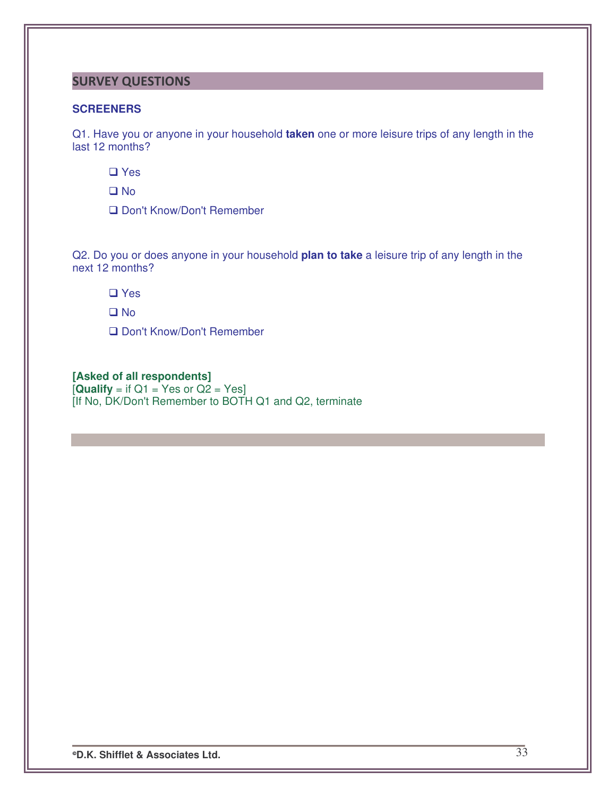## **SURVEY QUESTIONS**

#### **SCREENERS**

Q1. Have you or anyone in your household **taken** one or more leisure trips of any length in the last 12 months?

**□** Yes

D<sub>No</sub>

□ Don't Know/Don't Remember

Q2. Do you or does anyone in your household **plan to take** a leisure trip of any length in the next 12 months?

□ Yes

**Q** No

□ Don't Know/Don't Remember

#### **[Asked of all respondents]**

 $[Quality = if Q1 = Yes or Q2 = Yes]$ [If No, DK/Don't Remember to BOTH Q1 and Q2, terminate

**D.K. Shifflet & Associates Ltd.** 33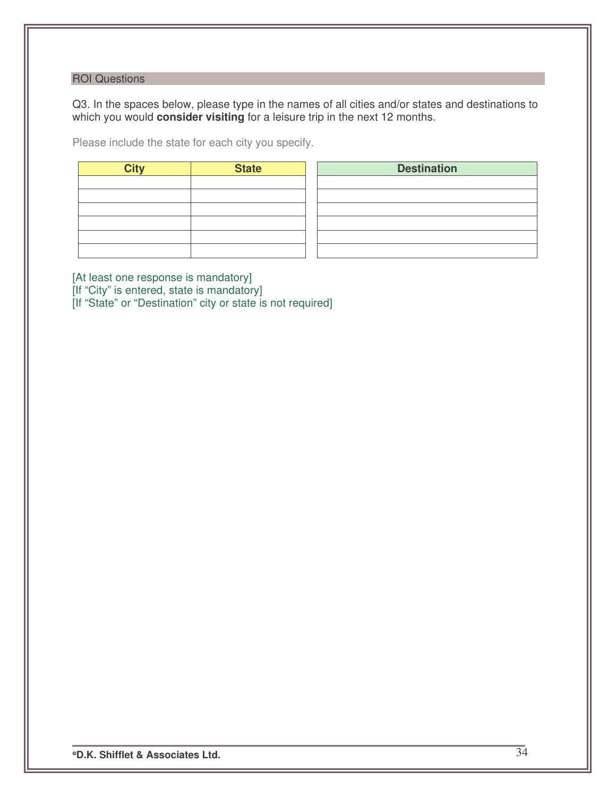### ROI Questions

Q3. In the spaces below, please type in the names of all cities and/or states and destinations to which you would **consider visiting** for a leisure trip in the next 12 months.

Please include the state for each city you specify.

| <b>City</b> | <b>State</b> | <b>Destination</b> |
|-------------|--------------|--------------------|
|             |              |                    |
|             |              |                    |
|             |              |                    |
|             |              |                    |
|             |              |                    |
|             |              |                    |

[At least one response is mandatory] [If "City" is entered, state is mandatory] [If "State" or "Destination" city or state is not required]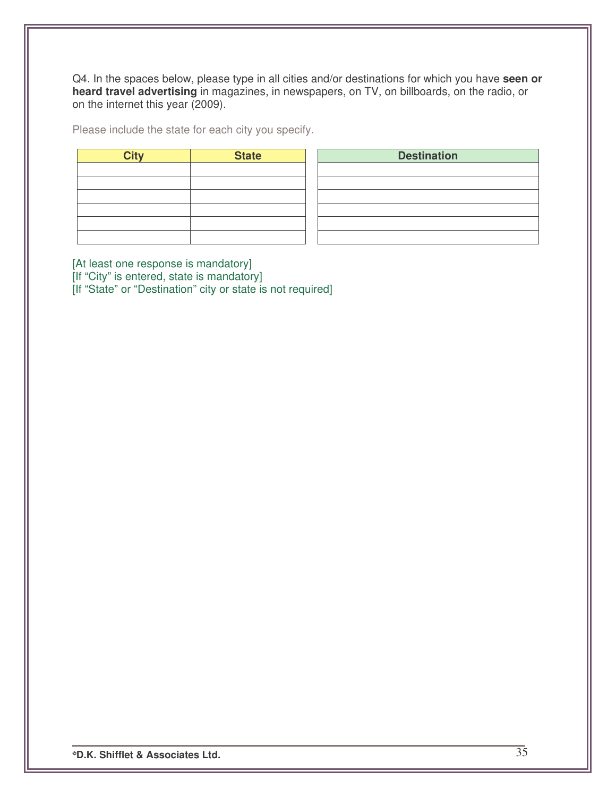Q4. In the spaces below, please type in all cities and/or destinations for which you have **seen or heard travel advertising** in magazines, in newspapers, on TV, on billboards, on the radio, or on the internet this year (2009).

Please include the state for each city you specify.

| <b>City</b> | <b>State</b> | <b>Destination</b> |
|-------------|--------------|--------------------|
|             |              |                    |
|             |              |                    |
|             |              |                    |
|             |              |                    |
|             |              |                    |
|             |              |                    |

[At least one response is mandatory] [If "City" is entered, state is mandatory] [If "State" or "Destination" city or state is not required]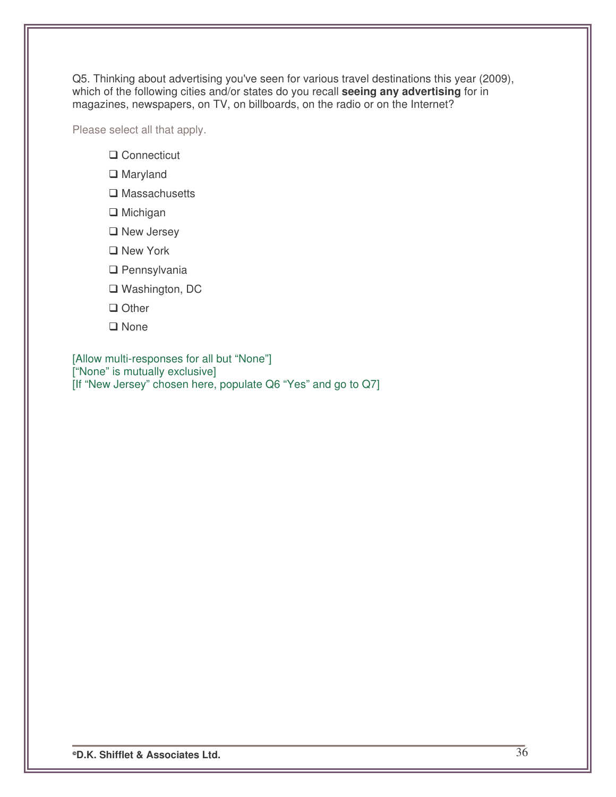Q5. Thinking about advertising you've seen for various travel destinations this year (2009), which of the following cities and/or states do you recall **seeing any advertising** for in magazines, newspapers, on TV, on billboards, on the radio or on the Internet?

Please select all that apply.

- **□ Connecticut**
- □ Maryland
- $\square$  Massachusetts
- $\Box$  Michigan
- **□** New Jersey
- □ New York
- □ Pennsylvania
- □ Washington, DC
- □ Other
- **□** None

[Allow multi-responses for all but "None"] ["None" is mutually exclusive] [If "New Jersey" chosen here, populate Q6 "Yes" and go to Q7]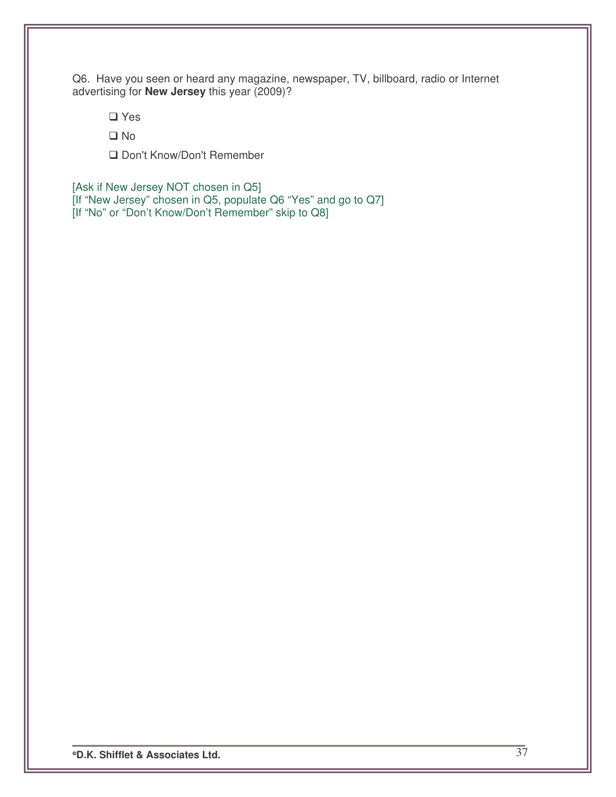Q6. Have you seen or heard any magazine, newspaper, TV, billboard, radio or Internet advertising for **New Jersey** this year (2009)?

□ Yes

□ No

□ Don't Know/Don't Remember

[Ask if New Jersey NOT chosen in Q5] [If "New Jersey" chosen in Q5, populate Q6 "Yes" and go to Q7] [If "No" or "Don't Know/Don't Remember" skip to Q8]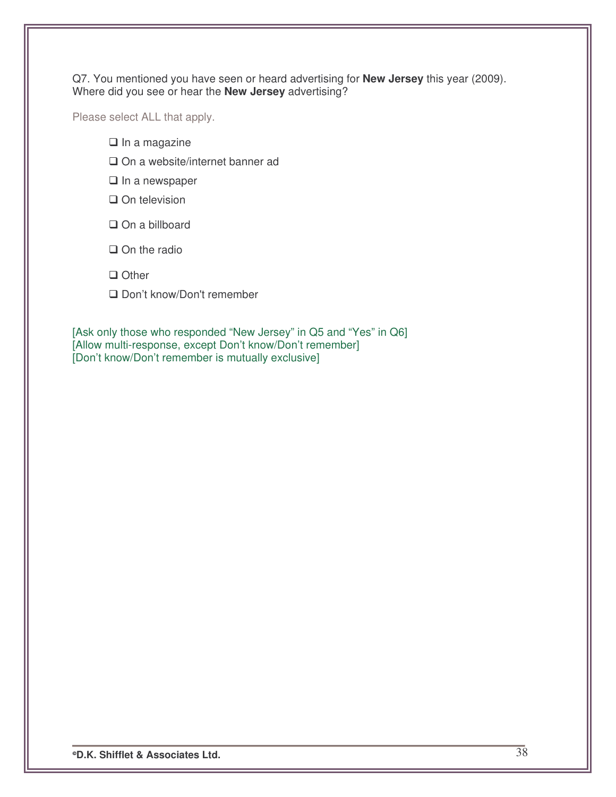Q7. You mentioned you have seen or heard advertising for **New Jersey** this year (2009). Where did you see or hear the **New Jersey** advertising?

Please select ALL that apply.

- $\Box$  In a magazine
- □ On a website/internet banner ad
- $\Box$  In a newspaper
- $\square$  On television
- On a billboard
- $\Box$  On the radio
- **Other**
- □ Don't know/Don't remember

[Ask only those who responded "New Jersey" in Q5 and "Yes" in Q6] [Allow multi-response, except Don't know/Don't remember] [Don't know/Don't remember is mutually exclusive]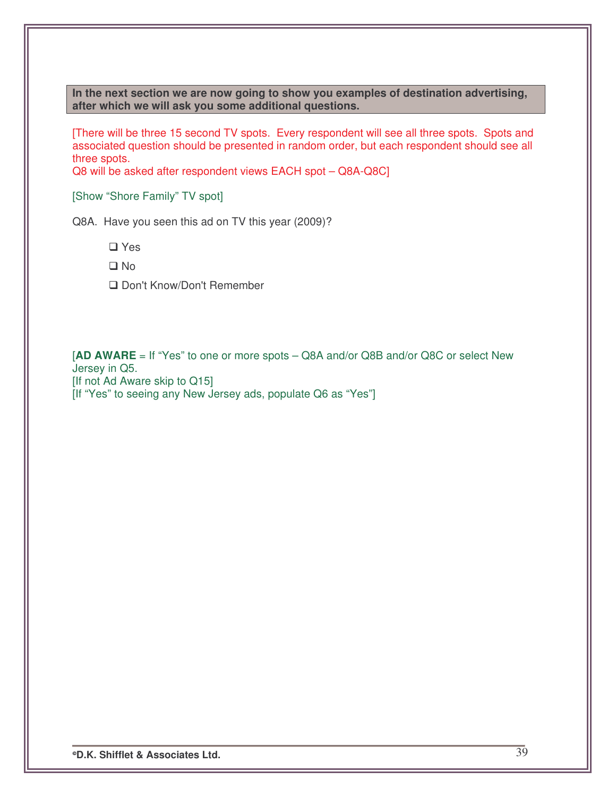**In the next section we are now going to show you examples of destination advertising, after which we will ask you some additional questions.**

[There will be three 15 second TV spots. Every respondent will see all three spots. Spots and associated question should be presented in random order, but each respondent should see all three spots.

Q8 will be asked after respondent views EACH spot – Q8A-Q8C]

[Show "Shore Family" TV spot]

Q8A. Have you seen this ad on TV this year (2009)?

□ Yes

- □ No
- □ Don't Know/Don't Remember

[**AD AWARE** = If "Yes" to one or more spots – Q8A and/or Q8B and/or Q8C or select New Jersey in Q5. [If not Ad Aware skip to Q15] [If "Yes" to seeing any New Jersey ads, populate Q6 as "Yes"]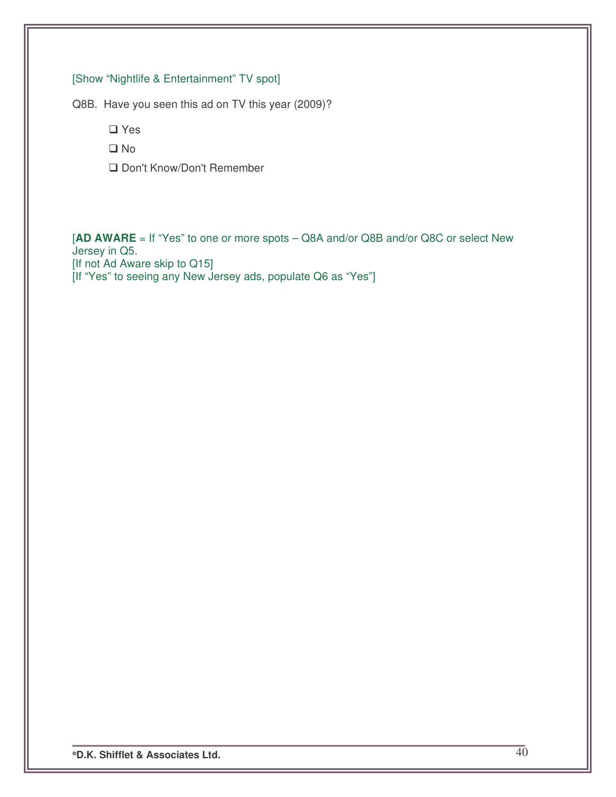# [Show "Nightlife & Entertainment" TV spot]

Q8B. Have you seen this ad on TV this year (2009)?

□ Yes

□ No

□ Don't Know/Don't Remember

[**AD AWARE** = If "Yes" to one or more spots – Q8A and/or Q8B and/or Q8C or select New Jersey in Q5. [If not Ad Aware skip to Q15] [If "Yes" to seeing any New Jersey ads, populate Q6 as "Yes"]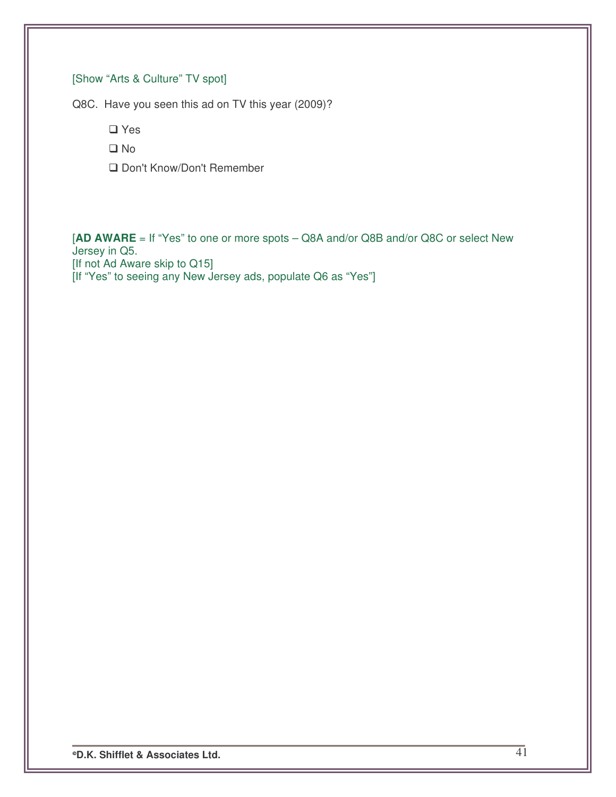# [Show "Arts & Culture" TV spot]

Q8C. Have you seen this ad on TV this year (2009)?

□ Yes

□ No

□ Don't Know/Don't Remember

[**AD AWARE** = If "Yes" to one or more spots – Q8A and/or Q8B and/or Q8C or select New Jersey in Q5. [If not Ad Aware skip to Q15] [If "Yes" to seeing any New Jersey ads, populate Q6 as "Yes"]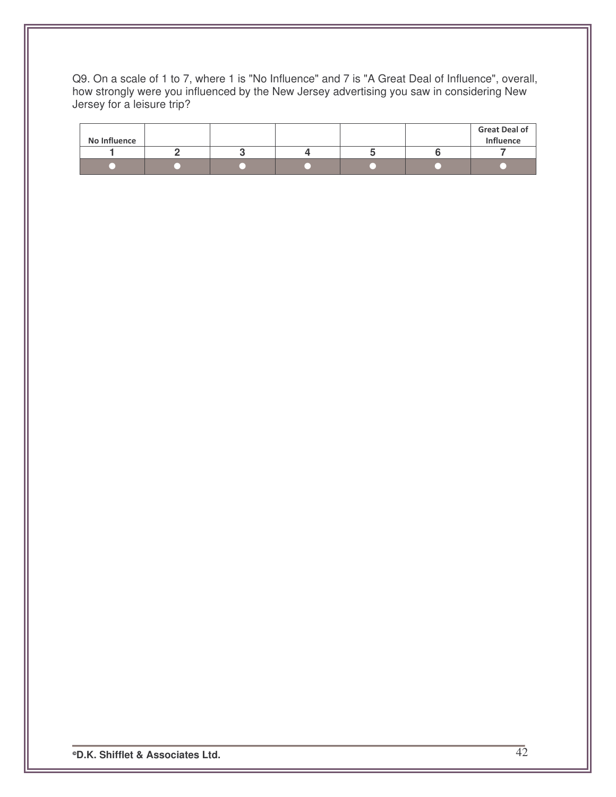Q9. On a scale of 1 to 7, where 1 is "No Influence" and 7 is "A Great Deal of Influence", overall, how strongly were you influenced by the New Jersey advertising you saw in considering New Jersey for a leisure trip?

| No Influence |  |  | <b>Great Deal of</b><br><b>Influence</b> |
|--------------|--|--|------------------------------------------|
|              |  |  |                                          |
|              |  |  |                                          |

**D.K. Shifflet & Associates Ltd.** 42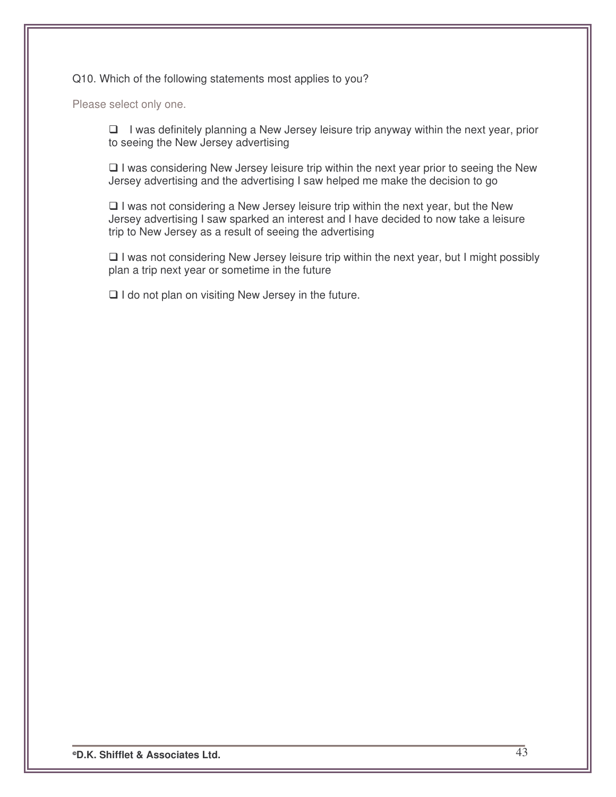#### Q10. Which of the following statements most applies to you?

Please select only one.

 $\Box$  I was definitely planning a New Jersey leisure trip anyway within the next year, prior to seeing the New Jersey advertising

 $\Box$  I was considering New Jersey leisure trip within the next year prior to seeing the New Jersey advertising and the advertising I saw helped me make the decision to go

 $\Box$  I was not considering a New Jersey leisure trip within the next year, but the New Jersey advertising I saw sparked an interest and I have decided to now take a leisure trip to New Jersey as a result of seeing the advertising

 $\Box$  I was not considering New Jersey leisure trip within the next year, but I might possibly plan a trip next year or sometime in the future

 $\Box$  I do not plan on visiting New Jersey in the future.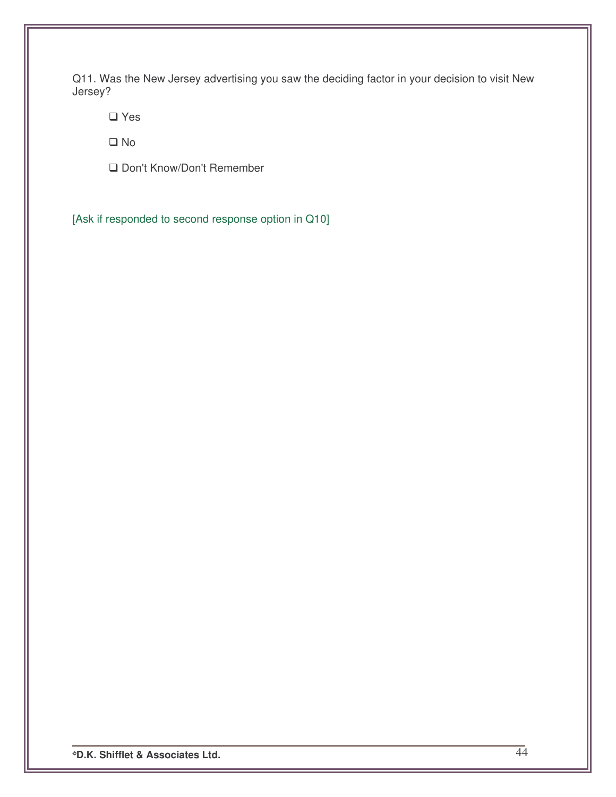Q11. Was the New Jersey advertising you saw the deciding factor in your decision to visit New Jersey?

**□** Yes

□ No

□ Don't Know/Don't Remember

[Ask if responded to second response option in Q10]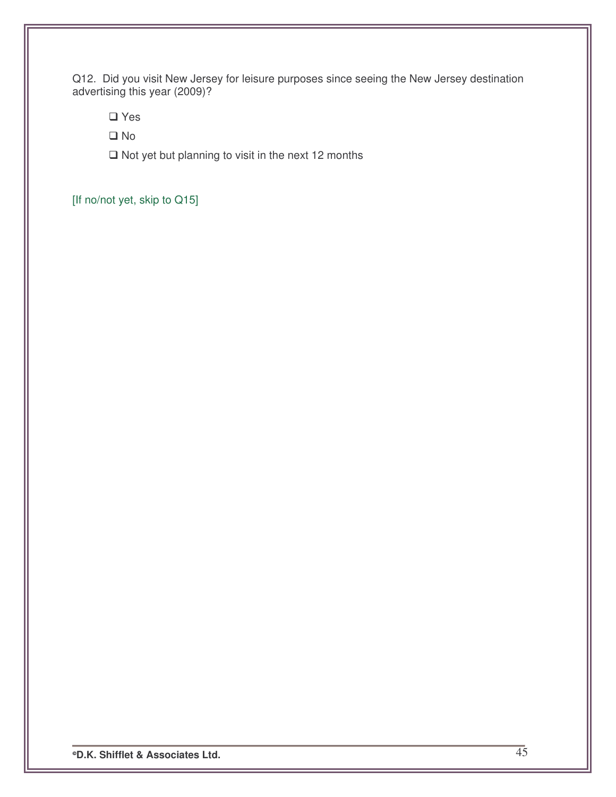Q12. Did you visit New Jersey for leisure purposes since seeing the New Jersey destination advertising this year (2009)?

**□** Yes

No

 $\Box$  Not yet but planning to visit in the next 12 months

[If no/not yet, skip to Q15]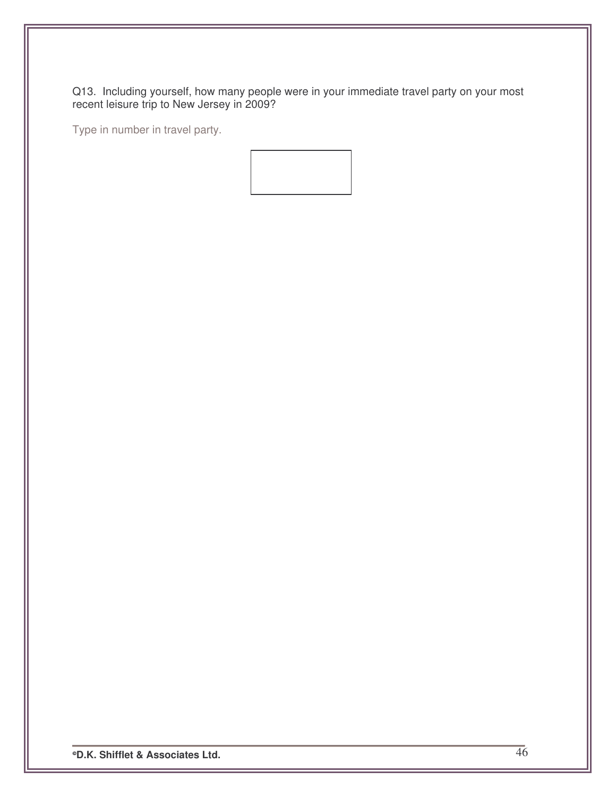Q13. Including yourself, how many people were in your immediate travel party on your most recent leisure trip to New Jersey in 2009?

Type in number in travel party.

**D.K. Shifflet & Associates Ltd.** 46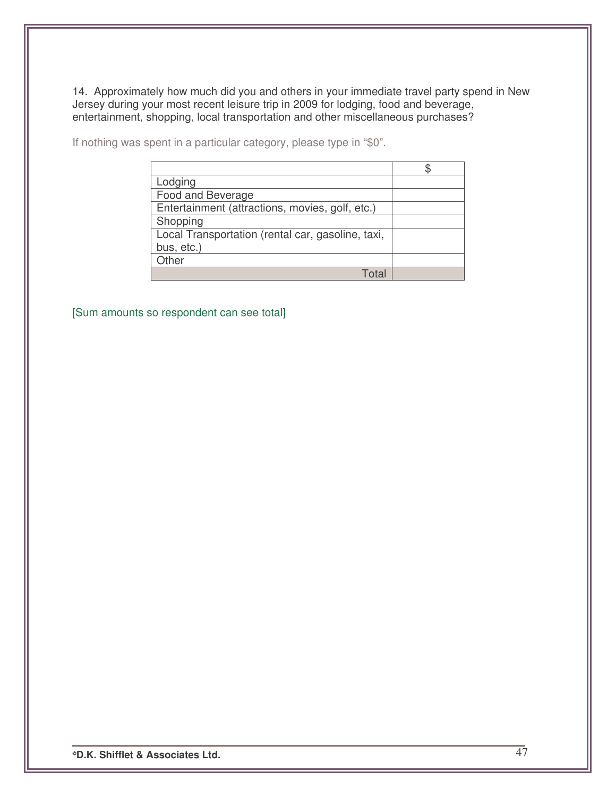14. Approximately how much did you and others in your immediate travel party spend in New Jersey during your most recent leisure trip in 2009 for lodging, food and beverage, entertainment, shopping, local transportation and other miscellaneous purchases?

If nothing was spent in a particular category, please type in "\$0".

[Sum amounts so respondent can see total]

**D.K. Shifflet & Associates Ltd.** 47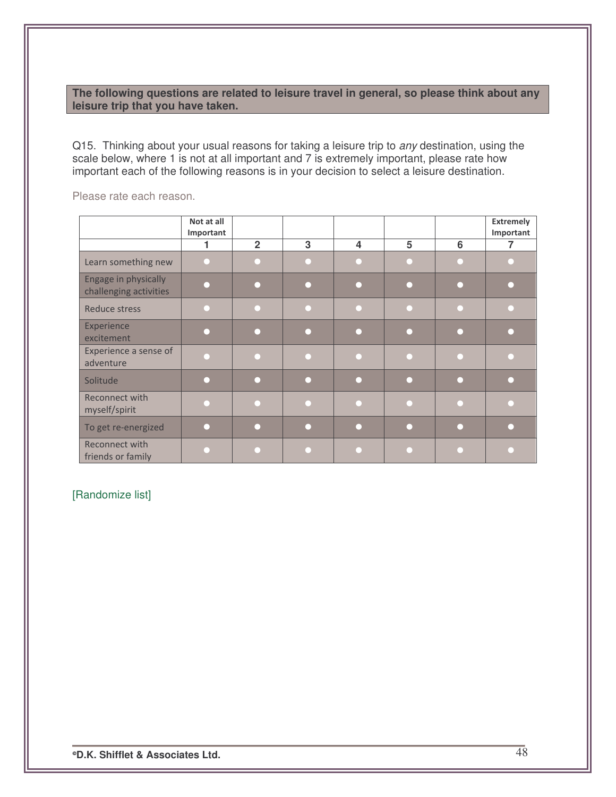### **The following questions are related to leisure travel in general, so please think about any leisure trip that you have taken.**

Q15. Thinking about your usual reasons for taking a leisure trip to *any* destination, using the scale below, where 1 is not at all important and 7 is extremely important, please rate how important each of the following reasons is in your decision to select a leisure destination.

|                                                | Not at all |                |   |   |   |   | <b>Extremely</b> |
|------------------------------------------------|------------|----------------|---|---|---|---|------------------|
|                                                | Important  |                |   |   |   |   | Important        |
|                                                |            |                |   |   |   |   |                  |
|                                                |            | $\overline{2}$ | 3 | 4 | 5 | 6 | 7                |
| Learn something new                            |            |                |   |   |   |   |                  |
| Engage in physically<br>challenging activities |            |                |   |   |   |   |                  |
| <b>Reduce stress</b>                           |            |                |   |   |   |   |                  |
| Experience<br>excitement                       |            |                |   |   |   |   |                  |
| Experience a sense of<br>adventure             |            |                |   |   |   |   |                  |
| Solitude                                       |            |                |   |   |   |   |                  |
| Reconnect with<br>myself/spirit                |            |                |   |   |   |   |                  |
| To get re-energized                            |            |                |   |   |   |   |                  |
| Reconnect with<br>friends or family            |            |                |   |   |   |   |                  |

Please rate each reason.

## [Randomize list]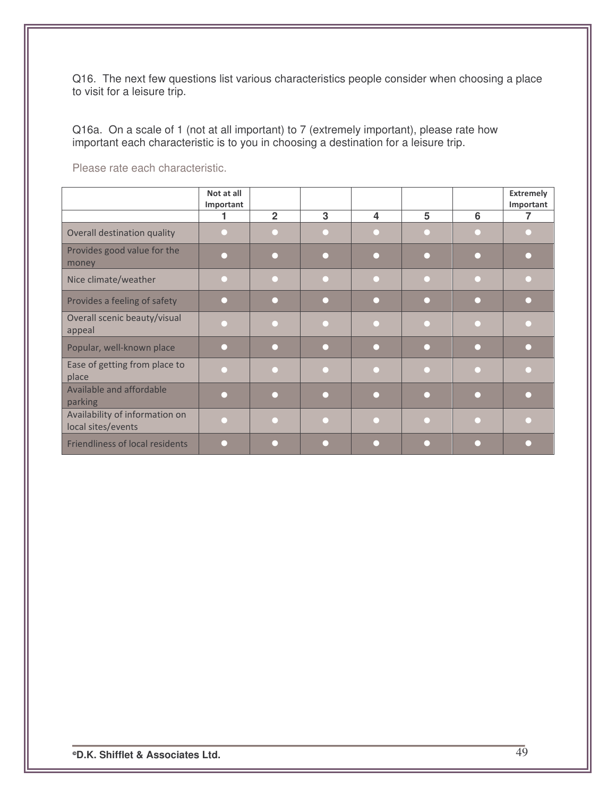Q16. The next few questions list various characteristics people consider when choosing a place to visit for a leisure trip.

Q16a. On a scale of 1 (not at all important) to 7 (extremely important), please rate how important each characteristic is to you in choosing a destination for a leisure trip.

Please rate each characteristic.

|                                                      | Not at all<br>Important |                |   |   |   |   | <b>Extremely</b><br>Important |
|------------------------------------------------------|-------------------------|----------------|---|---|---|---|-------------------------------|
|                                                      | 1                       | $\overline{2}$ | 3 | 4 | 5 | 6 | 7                             |
| Overall destination quality                          |                         |                |   |   |   |   |                               |
| Provides good value for the<br>money                 |                         |                |   |   |   |   |                               |
| Nice climate/weather                                 |                         |                |   |   |   |   |                               |
| Provides a feeling of safety                         |                         |                |   |   |   |   |                               |
| Overall scenic beauty/visual<br>appeal               |                         |                |   |   |   |   |                               |
| Popular, well-known place                            |                         |                |   |   |   |   |                               |
| Ease of getting from place to<br>place               |                         |                |   |   |   |   |                               |
| Available and affordable<br>parking                  |                         |                |   |   |   |   |                               |
| Availability of information on<br>local sites/events |                         |                |   |   |   |   |                               |
| <b>Friendliness of local residents</b>               |                         |                |   |   |   |   |                               |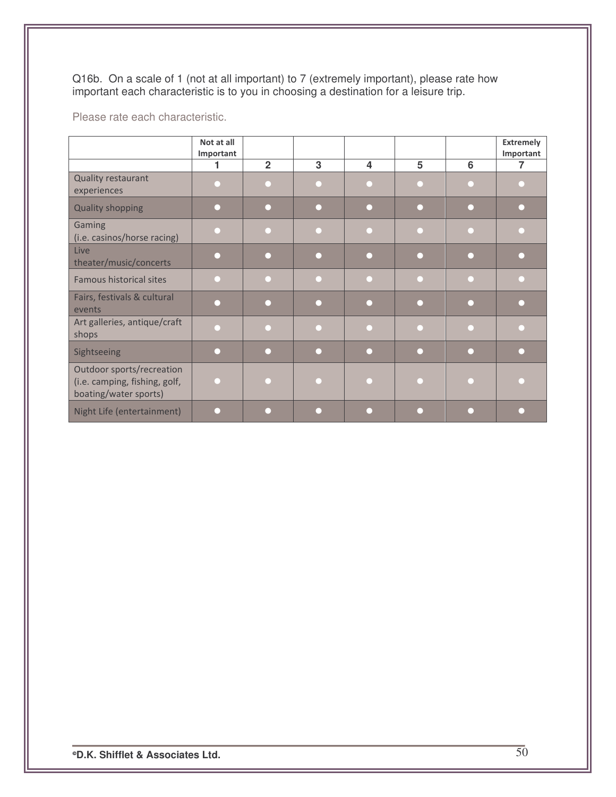Q16b. On a scale of 1 (not at all important) to 7 (extremely important), please rate how important each characteristic is to you in choosing a destination for a leisure trip.

Please rate each characteristic.

|                                                                                     | Not at all<br>Important |                |   |   |   |   | <b>Extremely</b><br>Important |
|-------------------------------------------------------------------------------------|-------------------------|----------------|---|---|---|---|-------------------------------|
|                                                                                     |                         | $\overline{2}$ | 3 | 4 | 5 | 6 |                               |
| Quality restaurant<br>experiences                                                   |                         |                |   |   |   |   |                               |
| <b>Quality shopping</b>                                                             |                         |                |   |   |   |   |                               |
| Gaming<br>(i.e. casinos/horse racing)                                               |                         |                |   |   |   |   |                               |
| Live<br>theater/music/concerts                                                      |                         |                |   |   |   |   |                               |
| <b>Famous historical sites</b>                                                      |                         |                |   |   |   |   |                               |
| Fairs, festivals & cultural<br>events                                               |                         |                |   |   |   |   |                               |
| Art galleries, antique/craft<br>shops                                               |                         |                |   |   |   |   |                               |
| Sightseeing                                                                         |                         |                |   |   |   |   |                               |
| Outdoor sports/recreation<br>(i.e. camping, fishing, golf,<br>boating/water sports) |                         |                |   |   |   |   |                               |
| Night Life (entertainment)                                                          |                         |                |   |   |   |   |                               |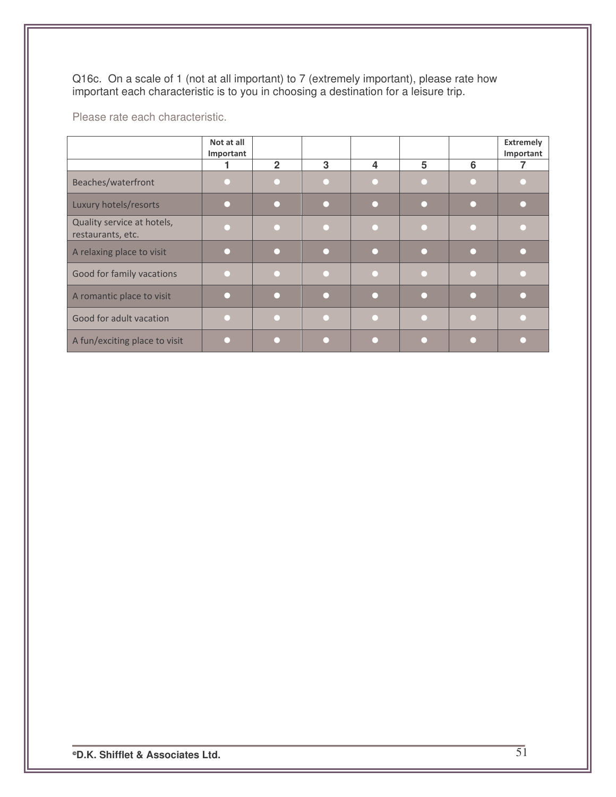Q16c. On a scale of 1 (not at all important) to 7 (extremely important), please rate how important each characteristic is to you in choosing a destination for a leisure trip.

Please rate each characteristic.

|                                                 | Not at all<br>Important |                |   |   |   |   | <b>Extremely</b><br>Important |
|-------------------------------------------------|-------------------------|----------------|---|---|---|---|-------------------------------|
|                                                 |                         | $\overline{2}$ | 3 | 4 | 5 | 6 |                               |
| Beaches/waterfront                              |                         |                |   |   |   |   |                               |
| Luxury hotels/resorts                           |                         |                |   |   |   |   |                               |
| Quality service at hotels,<br>restaurants, etc. |                         |                |   |   |   |   |                               |
| A relaxing place to visit                       |                         |                |   |   |   |   |                               |
| Good for family vacations                       |                         |                |   |   |   |   |                               |
| A romantic place to visit                       |                         |                |   |   |   |   |                               |
| Good for adult vacation                         |                         |                |   |   |   |   |                               |
| A fun/exciting place to visit                   |                         |                |   |   |   |   |                               |

<sup>®</sup>D.K. Shifflet & Associates Ltd.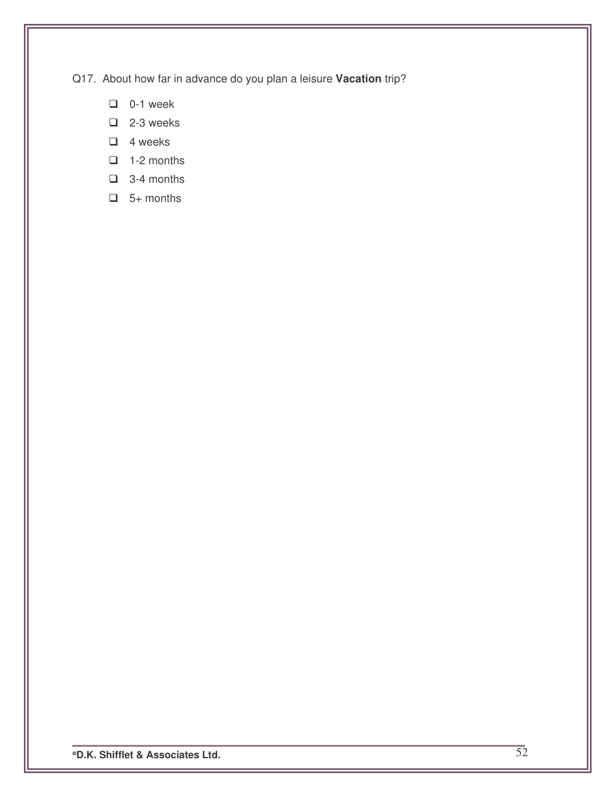Q17. About how far in advance do you plan a leisure **Vacation** trip?

- $\Box$  0-1 week
- $\Box$  2-3 weeks
- $\Box$  4 weeks
- $\Box$  1-2 months
- $\Box$  3-4 months
- $\Box$  5+ months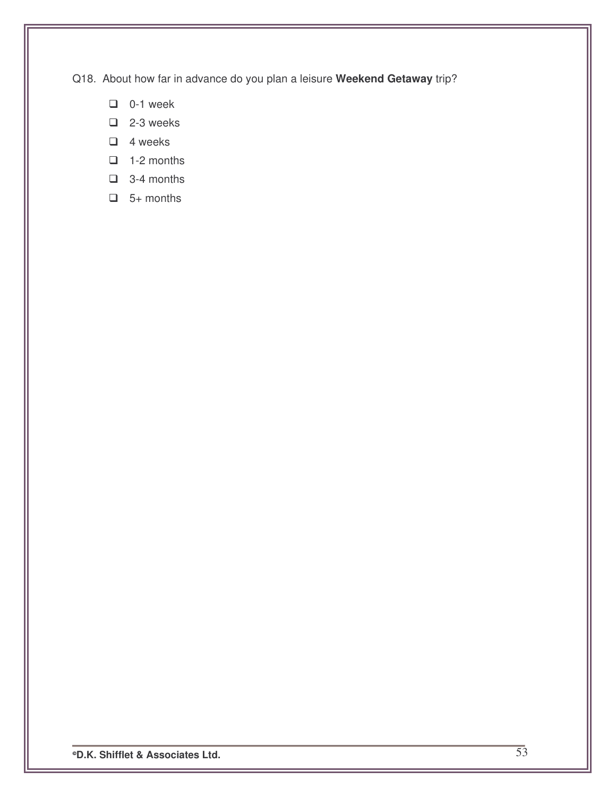Q18. About how far in advance do you plan a leisure **Weekend Getaway** trip?

- $\Box$  0-1 week
- $\Box$  2-3 weeks
- $\Box$  4 weeks
- $\Box$  1-2 months
- $\Box$  3-4 months
- $\Box$  5+ months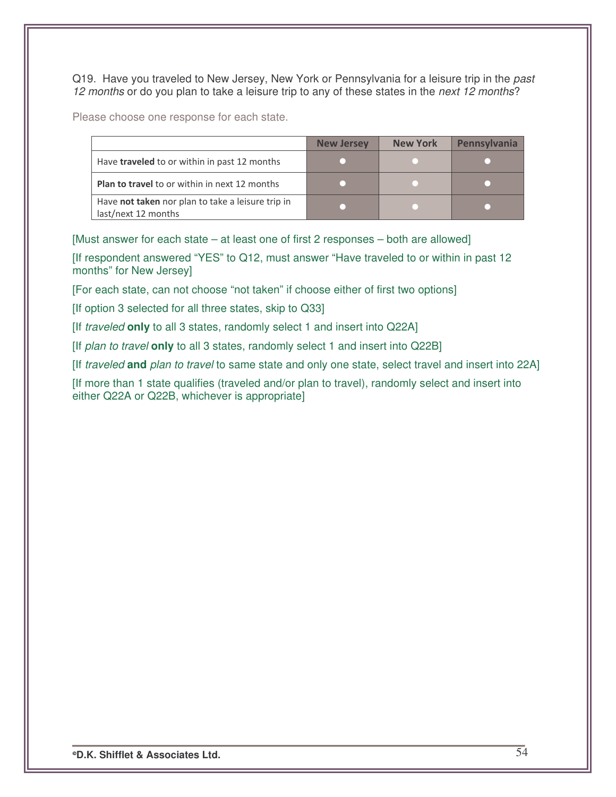Q19. Have you traveled to New Jersey, New York or Pennsylvania for a leisure trip in the *past 12 months* or do you plan to take a leisure trip to any of these states in the *next 12 months*?

Please choose one response for each state.

|                                                                          | <b>New Jersey</b> | <b>New York</b> | <b>Pennsylvania</b> |
|--------------------------------------------------------------------------|-------------------|-----------------|---------------------|
| Have <b>traveled</b> to or within in past 12 months                      |                   |                 |                     |
| <b>Plan to travel</b> to or within in next 12 months                     |                   |                 |                     |
| Have not taken nor plan to take a leisure trip in<br>last/next 12 months |                   |                 |                     |

[Must answer for each state – at least one of first 2 responses – both are allowed]

[If respondent answered "YES" to Q12, must answer "Have traveled to or within in past 12 months" for New Jersey]

[For each state, can not choose "not taken" if choose either of first two options]

[If option 3 selected for all three states, skip to Q33]

[If *traveled* **only** to all 3 states, randomly select 1 and insert into Q22A]

[If *plan to travel* **only** to all 3 states, randomly select 1 and insert into Q22B]

[If *traveled* **and** *plan to travel* to same state and only one state, select travel and insert into 22A]

[If more than 1 state qualifies (traveled and/or plan to travel), randomly select and insert into either Q22A or Q22B, whichever is appropriate]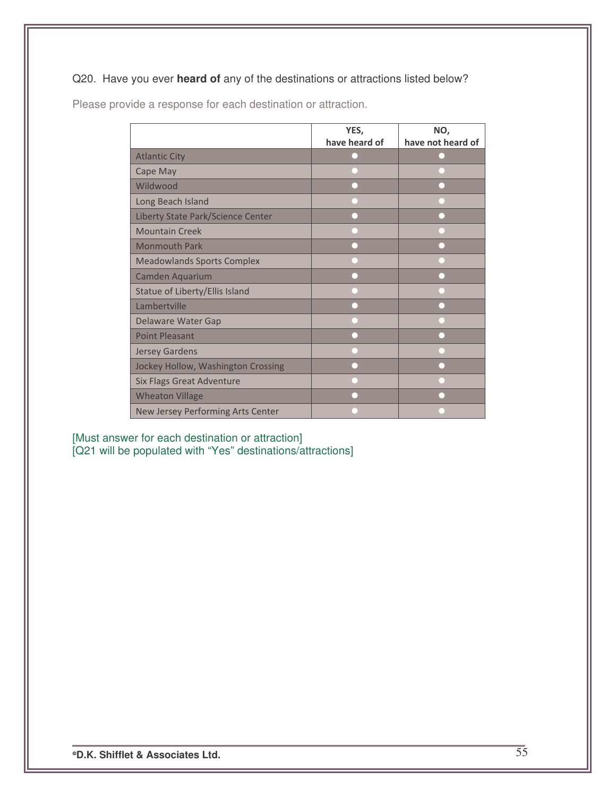## Q20. Have you ever **heard of** any of the destinations or attractions listed below?

|                                    | YES,          | NO,               |
|------------------------------------|---------------|-------------------|
|                                    | have heard of | have not heard of |
| <b>Atlantic City</b>               |               |                   |
| Cape May                           |               |                   |
| Wildwood                           |               |                   |
| Long Beach Island                  |               |                   |
| Liberty State Park/Science Center  |               |                   |
| <b>Mountain Creek</b>              |               |                   |
| <b>Monmouth Park</b>               |               |                   |
| <b>Meadowlands Sports Complex</b>  |               |                   |
| Camden Aquarium                    |               |                   |
| Statue of Liberty/Ellis Island     |               |                   |
| Lambertville                       |               |                   |
| Delaware Water Gap                 |               |                   |
| <b>Point Pleasant</b>              |               |                   |
| <b>Jersey Gardens</b>              |               |                   |
| Jockey Hollow, Washington Crossing |               |                   |
| <b>Six Flags Great Adventure</b>   |               |                   |
| <b>Wheaton Village</b>             |               |                   |
| New Jersey Performing Arts Center  |               |                   |

Please provide a response for each destination or attraction.

[Must answer for each destination or attraction] [Q21 will be populated with "Yes" destinations/attractions]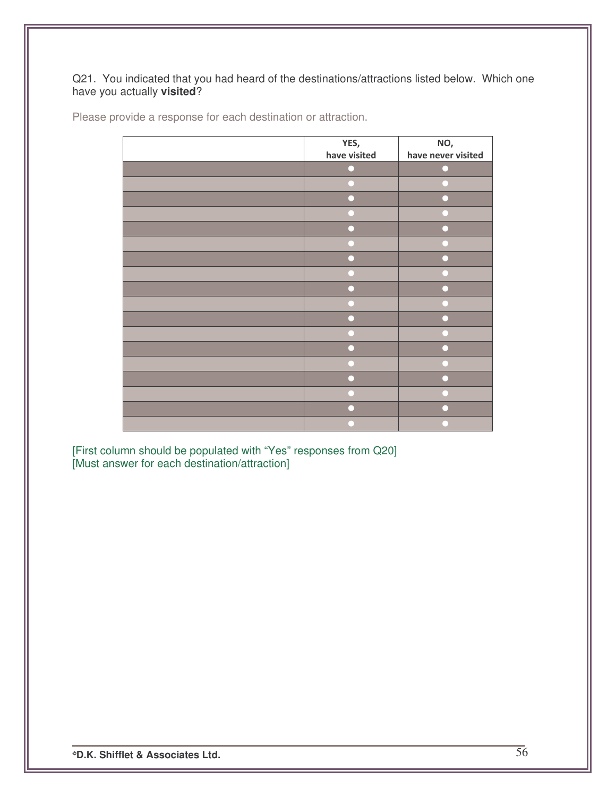### Q21. You indicated that you had heard of the destinations/attractions listed below. Which one have you actually **visited**?

| Please provide a response for each destination or attraction. |  |  |  |
|---------------------------------------------------------------|--|--|--|
|---------------------------------------------------------------|--|--|--|

| YES,         | NO,                |
|--------------|--------------------|
| have visited | have never visited |
|              |                    |
|              |                    |
|              |                    |
|              |                    |
|              |                    |
|              |                    |
|              |                    |
|              |                    |
|              |                    |
|              |                    |
|              |                    |
|              |                    |
|              |                    |
|              |                    |
|              |                    |
|              |                    |
|              |                    |
|              |                    |

[First column should be populated with "Yes" responses from Q20] [Must answer for each destination/attraction]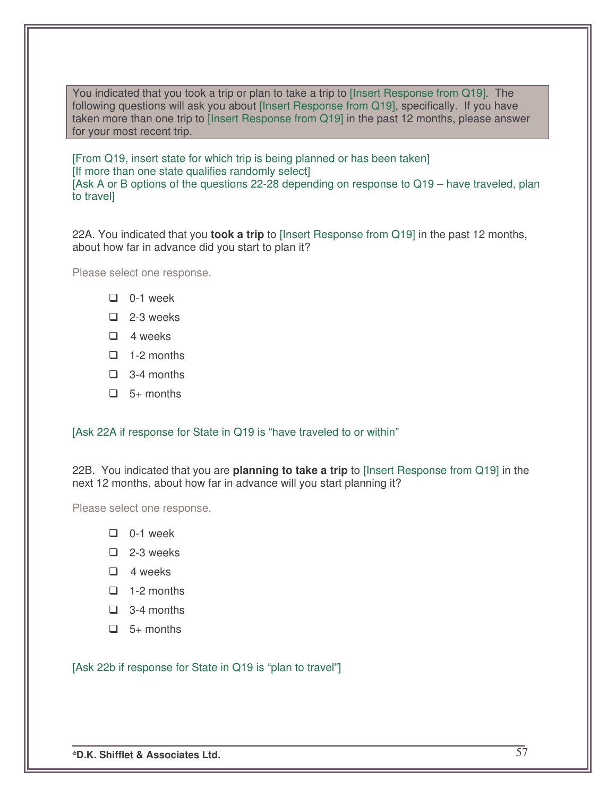You indicated that you took a trip or plan to take a trip to [Insert Response from Q19]. The following questions will ask you about [Insert Response from Q19], specifically. If you have taken more than one trip to [Insert Response from Q19] in the past 12 months, please answer for your most recent trip.

[From Q19, insert state for which trip is being planned or has been taken] [If more than one state qualifies randomly select] [Ask A or B options of the questions 22-28 depending on response to Q19 – have traveled, plan to travel]

22A. You indicated that you **took a trip** to [Insert Response from Q19] in the past 12 months, about how far in advance did you start to plan it?

Please select one response.

- $\Box$  0-1 week
- $\Box$  2-3 weeks
- $\Box$  4 weeks
- $\Box$  1-2 months
- $\Box$  3-4 months
- $\Box$  5+ months

#### [Ask 22A if response for State in Q19 is "have traveled to or within"

22B. You indicated that you are **planning to take a trip** to [Insert Response from Q19] in the next 12 months, about how far in advance will you start planning it?

Please select one response.

- $\Box$  0-1 week
- $\Box$  2-3 weeks
- $\Box$  4 weeks
- $\Box$  1-2 months
- $\Box$  3-4 months
- $\Box$  5+ months

[Ask 22b if response for State in Q19 is "plan to travel"]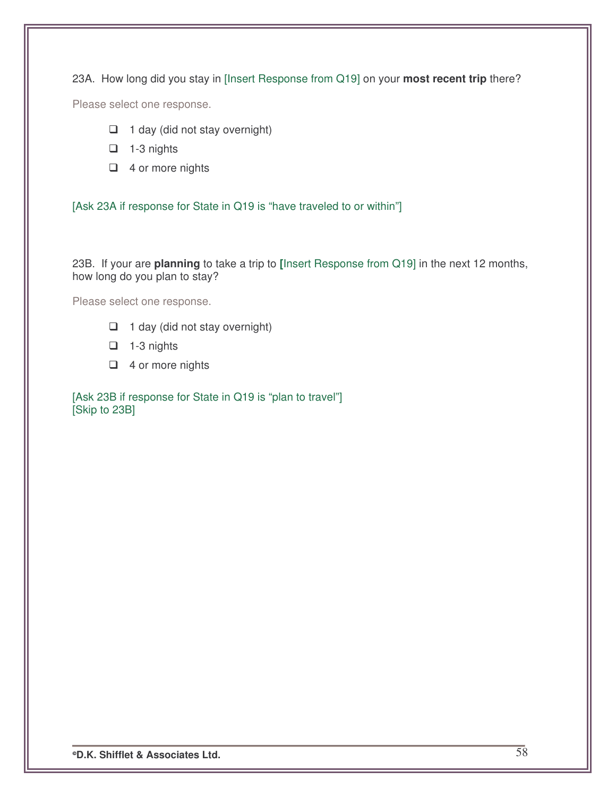23A. How long did you stay in [Insert Response from Q19] on your **most recent trip** there?

Please select one response.

- $\Box$  1 day (did not stay overnight)
- $\Box$  1-3 nights
- $\Box$  4 or more nights

[Ask 23A if response for State in Q19 is "have traveled to or within"]

23B. If your are **planning** to take a trip to **[**Insert Response from Q19] in the next 12 months, how long do you plan to stay?

Please select one response.

- $\Box$  1 day (did not stay overnight)
- $\Box$  1-3 nights
- $\Box$  4 or more nights

[Ask 23B if response for State in Q19 is "plan to travel"] [Skip to 23B]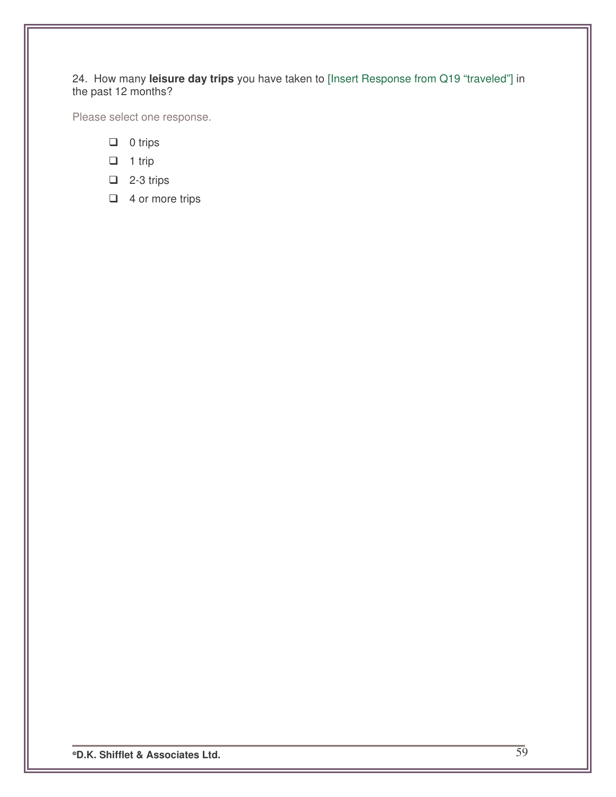#### 24. How many **leisure day trips** you have taken to [Insert Response from Q19 "traveled"] in the past 12 months?

Please select one response.

- $\Box$  0 trips
- $\Box$  1 trip
- $\Box$  2-3 trips
- $\Box$  4 or more trips

**D.K. Shifflet & Associates Ltd.** 59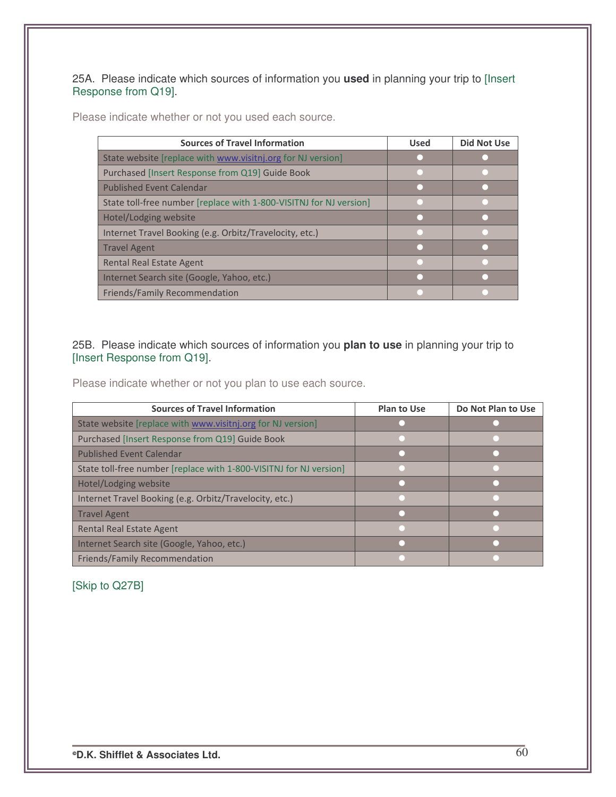25A. Please indicate which sources of information you **used** in planning your trip to [Insert Response from Q19].

Please indicate whether or not you used each source.

| <b>Sources of Travel Information</b>                               | <b>Used</b> | <b>Did Not Use</b> |
|--------------------------------------------------------------------|-------------|--------------------|
| State website [replace with www.visitnj.org for NJ version]        |             |                    |
| Purchased [Insert Response from Q19] Guide Book                    |             |                    |
| <b>Published Event Calendar</b>                                    |             |                    |
| State toll-free number [replace with 1-800-VISITNJ for NJ version] |             |                    |
| Hotel/Lodging website                                              |             |                    |
| Internet Travel Booking (e.g. Orbitz/Travelocity, etc.)            |             |                    |
| <b>Travel Agent</b>                                                |             |                    |
| <b>Rental Real Estate Agent</b>                                    |             |                    |
| Internet Search site (Google, Yahoo, etc.)                         |             |                    |
| Friends/Family Recommendation                                      |             |                    |

25B. Please indicate which sources of information you **plan to use** in planning your trip to [Insert Response from Q19].

Please indicate whether or not you plan to use each source.

| <b>Sources of Travel Information</b>                               | <b>Plan to Use</b> | Do Not Plan to Use |
|--------------------------------------------------------------------|--------------------|--------------------|
| State website [replace with www.visitnj.org for NJ version]        |                    |                    |
| Purchased [Insert Response from Q19] Guide Book                    |                    |                    |
| <b>Published Event Calendar</b>                                    |                    |                    |
| State toll-free number [replace with 1-800-VISITNJ for NJ version] |                    |                    |
| Hotel/Lodging website                                              |                    |                    |
| Internet Travel Booking (e.g. Orbitz/Travelocity, etc.)            |                    |                    |
| Travel Agent                                                       |                    |                    |
| <b>Rental Real Estate Agent</b>                                    |                    |                    |
| Internet Search site (Google, Yahoo, etc.)                         |                    |                    |
| <b>Friends/Family Recommendation</b>                               |                    |                    |

## [Skip to Q27B]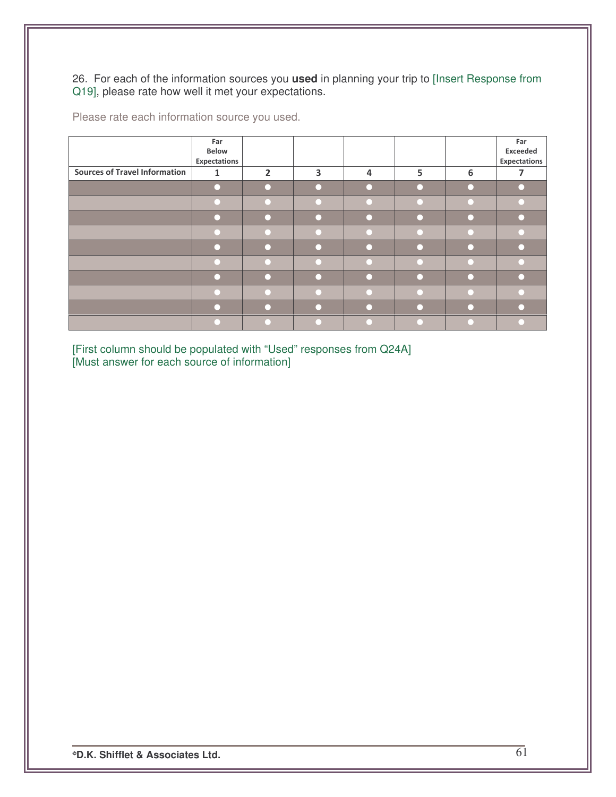26. For each of the information sources you **used** in planning your trip to [Insert Response from Q19], please rate how well it met your expectations.

|                                      | Far<br>Below<br>Expectations |                |   |   |   |   | Far<br>Exceeded<br>Expectations |
|--------------------------------------|------------------------------|----------------|---|---|---|---|---------------------------------|
| <b>Sources of Travel Information</b> | $\mathbf{1}$                 | $\overline{2}$ | 3 | 4 | 5 | 6 | 7                               |
|                                      |                              |                |   |   |   |   |                                 |
|                                      |                              |                |   |   |   |   |                                 |
|                                      |                              |                |   |   |   |   |                                 |
|                                      |                              |                |   |   |   |   |                                 |
|                                      |                              |                |   |   |   |   |                                 |
|                                      |                              |                |   |   |   |   |                                 |
|                                      |                              |                |   |   |   |   |                                 |
|                                      |                              |                |   |   |   |   |                                 |
|                                      |                              |                |   |   |   |   |                                 |
|                                      |                              |                |   |   |   |   |                                 |

Please rate each information source you used.

[First column should be populated with "Used" responses from Q24A] [Must answer for each source of information]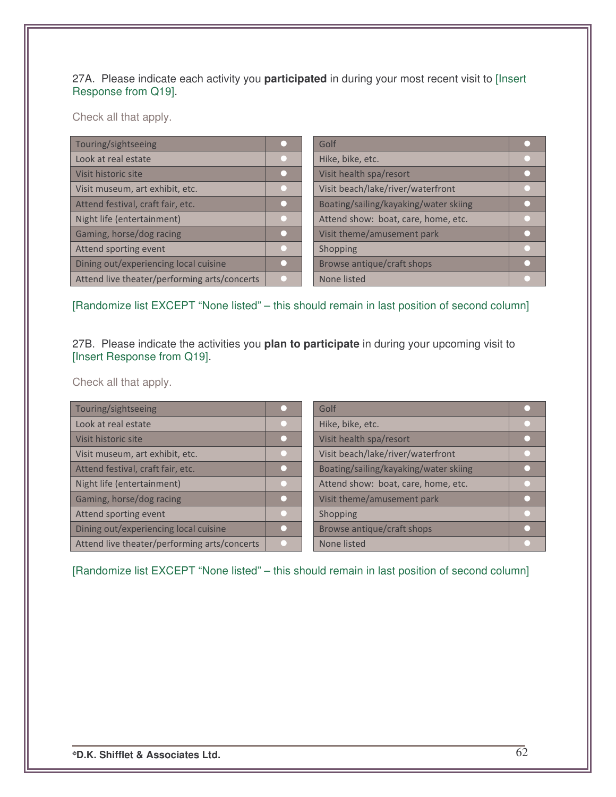### 27A. Please indicate each activity you **participated** in during your most recent visit to [Insert Response from Q19].

Check all that apply.

| Touring/sightseeing                          | Golf                                  |  |
|----------------------------------------------|---------------------------------------|--|
| Look at real estate                          | Hike, bike, etc.                      |  |
| Visit historic site                          | Visit health spa/resort               |  |
| Visit museum, art exhibit, etc.              | Visit beach/lake/river/waterfront     |  |
| Attend festival, craft fair, etc.            | Boating/sailing/kayaking/water skiing |  |
| Night life (entertainment)                   | Attend show: boat, care, home, etc.   |  |
| Gaming, horse/dog racing                     | Visit theme/amusement park            |  |
| Attend sporting event                        | Shopping                              |  |
| Dining out/experiencing local cuisine        | Browse antique/craft shops            |  |
| Attend live theater/performing arts/concerts | None listed                           |  |

[Randomize list EXCEPT "None listed" – this should remain in last position of second column]

27B. Please indicate the activities you **plan to participate** in during your upcoming visit to [Insert Response from Q19].

Check all that apply.

| Touring/sightseeing                          | Golf                                  |  |
|----------------------------------------------|---------------------------------------|--|
| Look at real estate                          | Hike, bike, etc.                      |  |
| Visit historic site                          | Visit health spa/resort               |  |
| Visit museum, art exhibit, etc.              | Visit beach/lake/river/waterfront     |  |
| Attend festival, craft fair, etc.            | Boating/sailing/kayaking/water skiing |  |
| Night life (entertainment)                   | Attend show: boat, care, home, etc.   |  |
| Gaming, horse/dog racing                     | Visit theme/amusement park            |  |
| Attend sporting event                        | Shopping                              |  |
| Dining out/experiencing local cuisine        | Browse antique/craft shops            |  |
| Attend live theater/performing arts/concerts | None listed                           |  |

[Randomize list EXCEPT "None listed" – this should remain in last position of second column]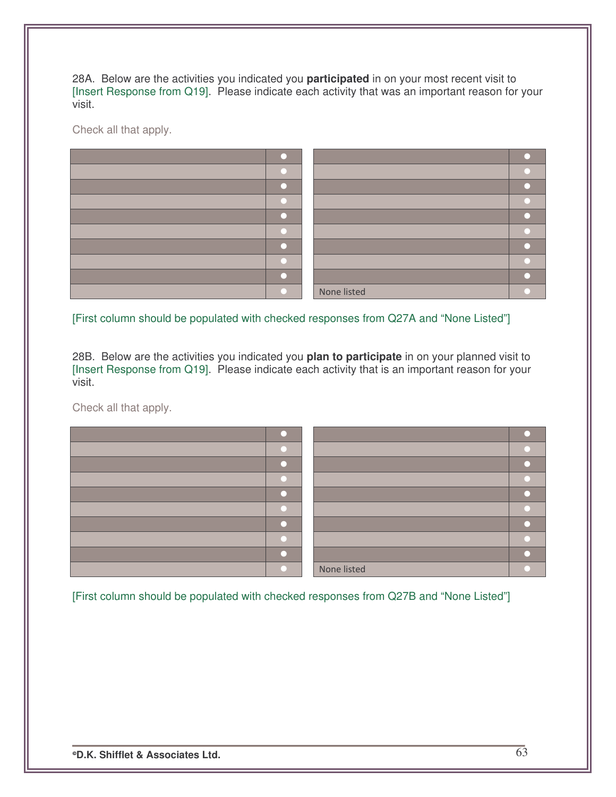28A. Below are the activities you indicated you **participated** in on your most recent visit to [Insert Response from Q19]. Please indicate each activity that was an important reason for your visit.

Check all that apply.



[First column should be populated with checked responses from Q27A and "None Listed"]

28B. Below are the activities you indicated you **plan to participate** in on your planned visit to [Insert Response from Q19]. Please indicate each activity that is an important reason for your visit.

Check all that apply.



[First column should be populated with checked responses from Q27B and "None Listed"]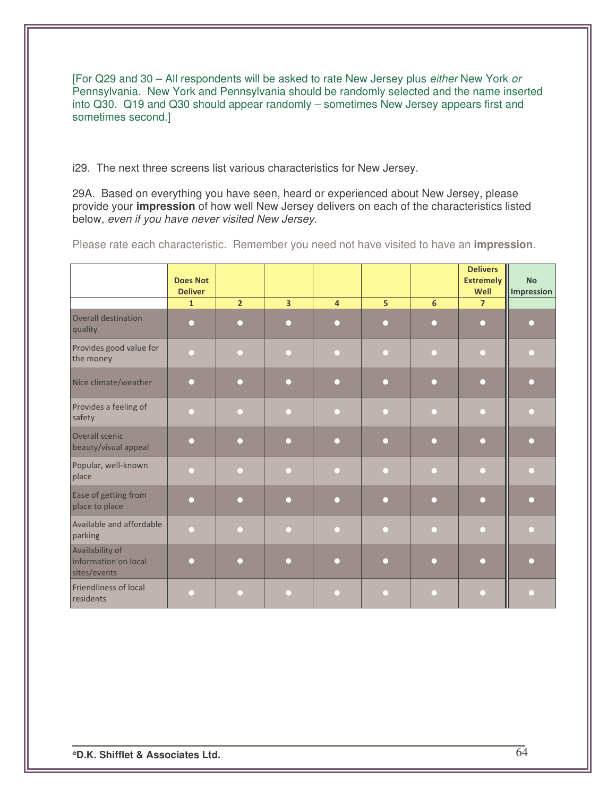[For Q29 and 30 – All respondents will be asked to rate New Jersey plus *either* New York *or* Pennsylvania. New York and Pennsylvania should be randomly selected and the name inserted into Q30. Q19 and Q30 should appear randomly – sometimes New Jersey appears first and sometimes second.]

i29. The next three screens list various characteristics for New Jersey.

29A. Based on everything you have seen, heard or experienced about New Jersey, please provide your **impression** of how well New Jersey delivers on each of the characteristics listed below, *even if you have never visited New Jersey*.

|                                                         | <b>Does Not</b>                |                |                |                |                |        | <b>Delivers</b><br><b>Extremely</b> | <b>No</b>  |
|---------------------------------------------------------|--------------------------------|----------------|----------------|----------------|----------------|--------|-------------------------------------|------------|
|                                                         | <b>Deliver</b><br>$\mathbf{1}$ | $\overline{2}$ | $\overline{3}$ | $\overline{4}$ | 5 <sup>1</sup> | 6      | Well<br>$\overline{7}$              | Impression |
| Overall destination<br>quality                          | г                              | □              | ∩              | n              | ∩              | $\Box$ | $\Box$                              |            |
| Provides good value for<br>the money                    | n                              |                | □              | n              | n              | n      | ∩                                   | □          |
| Nice climate/weather                                    | О                              | . .            | $\Box$         | O              | n              |        | $\Box$                              | ∩          |
| Provides a feeling of<br>safety                         | г                              |                | n              |                | n              |        | $\Box$                              |            |
| Overall scenic<br>beauty/visual appeal                  | n                              | n              | $\Box$         | $\Box$         | $\Box$         | ∩      | $\Box$                              | ∩          |
| Popular, well-known<br>place                            | г                              |                | ∩              |                | n              |        | $\Box$                              |            |
| Ease of getting from<br>place to place                  | n                              | □              | ∩              | ∩              | □              | ∩      | $\Box$                              | ∩          |
| Available and affordable<br>parking                     | n                              |                | □              | ∩              | ∩              | n      | ∩                                   | n          |
| Availability of<br>information on local<br>sites/events | □                              |                | ∩              | n              | ∩              | n      | $\Box$                              | ┌          |
| <b>Friendliness of local</b><br>residents               | г                              |                | n              |                |                | $\Box$ | ∩                                   |            |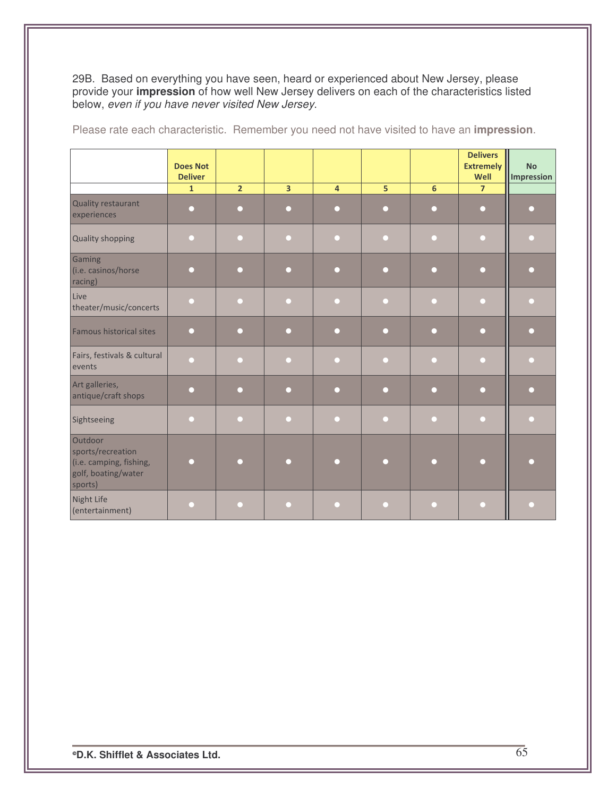29B. Based on everything you have seen, heard or experienced about New Jersey, please provide your impression of how well New Jersey delivers on each of the characteristics listed below, even if you have never visited New Jersey.

|                                                                                           | <b>Does Not</b><br><b>Deliver</b> |                |                         |                         |                 |                | <b>Delivers</b><br><b>Extremely</b><br>Well | <b>No</b><br><b>Impression</b> |
|-------------------------------------------------------------------------------------------|-----------------------------------|----------------|-------------------------|-------------------------|-----------------|----------------|---------------------------------------------|--------------------------------|
|                                                                                           | $\mathbf{1}$                      | $\overline{2}$ | $\overline{\mathbf{3}}$ | $\overline{\mathbf{4}}$ | $5\overline{)}$ | $6\phantom{a}$ | $\overline{7}$                              |                                |
| Quality restaurant<br>experiences                                                         | $\Box$                            | $\Box$         | $\Box$                  | ∩                       | О               | $\bigcap$      | $\Box$                                      | □                              |
| <b>Quality shopping</b>                                                                   | n                                 | □              | Г                       |                         | Г               |                | ∩                                           |                                |
| Gaming<br>(i.e. casinos/horse<br>racing)                                                  | $\Box$                            | n              | $\Box$                  | ∩                       | $\Box$          | ∩              | $\Box$                                      |                                |
| Live<br>theater/music/concerts                                                            | $\Box$                            | O              | n                       | n                       | n               | r.             | ∩                                           |                                |
| <b>Famous historical sites</b>                                                            | $\Box$                            | $\Box$         | $\Box$                  | $\Box$                  | $\Box$          | $\Box$         | $\Box$                                      |                                |
| Fairs, festivals & cultural<br>events                                                     | $\Box$                            | ◠              | $\Box$                  | □                       | n               | O              | ◘                                           |                                |
| Art galleries,<br>antique/craft shops                                                     | $\Box$                            | ∩              | ∩                       | ∩                       | n               | Ω              | ∩                                           |                                |
| Sightseeing                                                                               | $\Box$                            | □              | $\Box$                  | O                       | n               | ◘              | $\Box$                                      |                                |
| Outdoor<br>sports/recreation<br>(i.e. camping, fishing,<br>golf, boating/water<br>sports) | ∩                                 |                | О                       |                         | n               |                | ∩                                           |                                |
| Night Life<br>(entertainment)                                                             | $\Box$                            | n              | $\Box$                  | O                       | n               | $\Box$         | ∩                                           | n                              |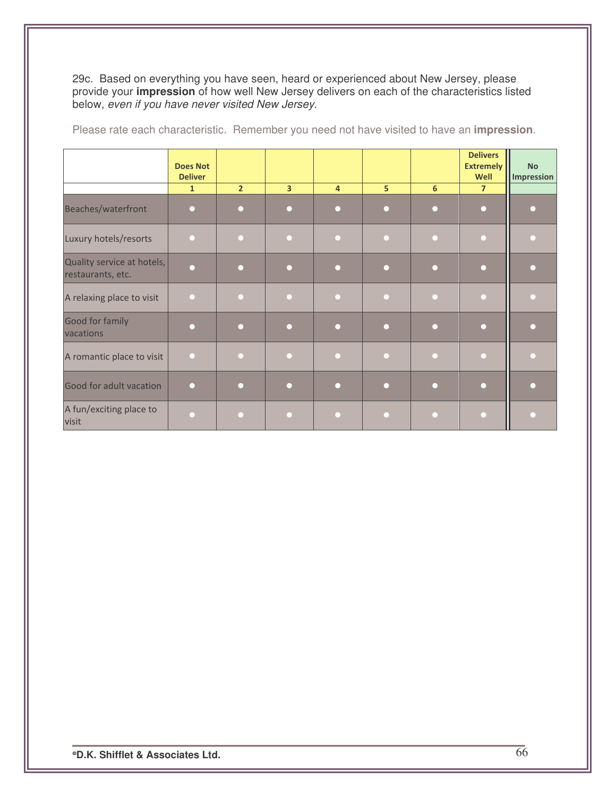29c. Based on everything you have seen, heard or experienced about New Jersey, please provide your impression of how well New Jersey delivers on each of the characteristics listed below, even if you have never visited New Jersey.

|                                                 | <b>Does Not</b><br><b>Deliver</b> |                |                |                |                |   | <b>Delivers</b><br><b>Extremely</b><br>Well | <b>No</b><br>Impression |
|-------------------------------------------------|-----------------------------------|----------------|----------------|----------------|----------------|---|---------------------------------------------|-------------------------|
|                                                 | $\mathbf{1}$                      | 2 <sup>2</sup> | $\overline{3}$ | $\overline{4}$ | 5 <sup>1</sup> | 6 | $\overline{7}$                              |                         |
| Beaches/waterfront                              |                                   |                |                |                |                |   | $\Box$                                      |                         |
| Luxury hotels/resorts                           |                                   |                |                |                |                |   |                                             |                         |
| Quality service at hotels,<br>restaurants, etc. |                                   |                |                |                |                |   | r                                           |                         |
| A relaxing place to visit                       |                                   |                |                |                |                |   |                                             |                         |
| Good for family<br>vacations                    |                                   |                | n              |                |                | n | ∩                                           |                         |
| A romantic place to visit                       | $\Box$                            |                |                |                |                |   | n                                           |                         |
| Good for adult vacation                         | ∩                                 |                | n              | □              |                |   | $\Box$                                      |                         |
| A fun/exciting place to<br>visit                |                                   |                |                |                |                |   |                                             |                         |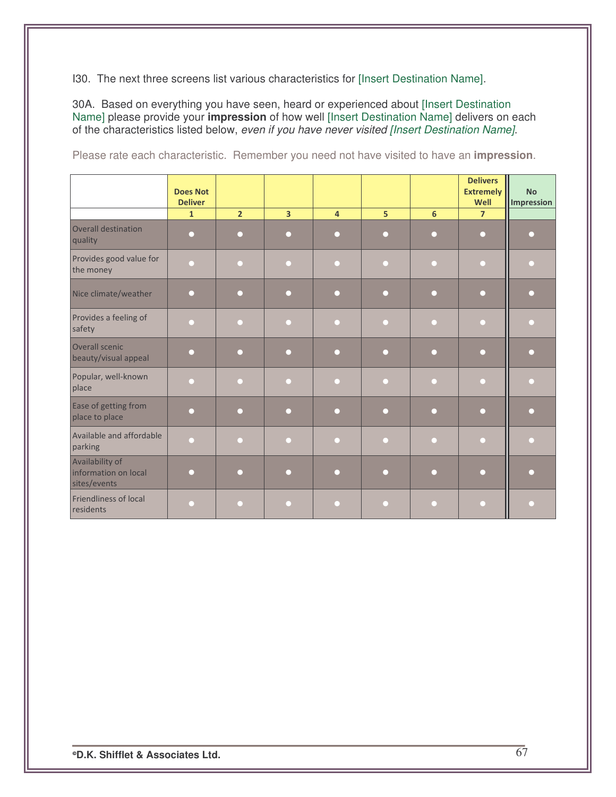130. The next three screens list various characteristics for [Insert Destination Name].

30A. Based on everything you have seen, heard or experienced about [Insert Destination Name] please provide your impression of how well [Insert Destination Name] delivers on each of the characteristics listed below, even if you have never visited [Insert Destination Name].

|  |  | Please rate each characteristic. Remember you need not have visited to have an <b>impression</b> . |  |  |  |  |  |
|--|--|----------------------------------------------------------------------------------------------------|--|--|--|--|--|
|  |  |                                                                                                    |  |  |  |  |  |

|                                                         | <b>Does Not</b>                |                |                |                |   |     | <b>Delivers</b><br><b>Extremely</b> | <b>No</b>  |
|---------------------------------------------------------|--------------------------------|----------------|----------------|----------------|---|-----|-------------------------------------|------------|
|                                                         | <b>Deliver</b><br>$\mathbf{1}$ | $\overline{2}$ | $\overline{3}$ | $\overline{4}$ | 5 | 6   | Well<br>$\overline{7}$              | Impression |
| <b>Overall destination</b><br>quality                   | $\Box$                         | $\Box$         | $\Box$         | □              | О | - 1 | $\Box$                              |            |
| Provides good value for<br>the money                    | ∩                              | n              | ∩              | n              | г |     | ∩                                   |            |
| Nice climate/weather                                    | ∩                              | ∩              | ∩              | n              | □ |     | ∩                                   |            |
| Provides a feeling of<br>safety                         | г                              |                | r.             |                | Г |     | П                                   |            |
| Overall scenic<br>beauty/visual appeal                  | $\Box$                         | $\Box$         | ∩              | □              | n | □   | $\Box$                              |            |
| Popular, well-known<br>place                            | ∩                              | ∩              | ∩              | ◠              | n |     | ∩                                   |            |
| Ease of getting from<br>place to place                  | ∩                              | ∩              | ∩              | □              | n |     | ∩                                   |            |
| Available and affordable<br>parking                     | $\Box$                         | n              | ∩              | n              | г | O   | ∩                                   |            |
| Availability of<br>information on local<br>sites/events | ∩                              | ∩              | $\Box$         | □              | г |     | $\Box$                              |            |
| Friendliness of local<br>residents                      | ┍                              |                | ∩              |                | г |     | ∩                                   |            |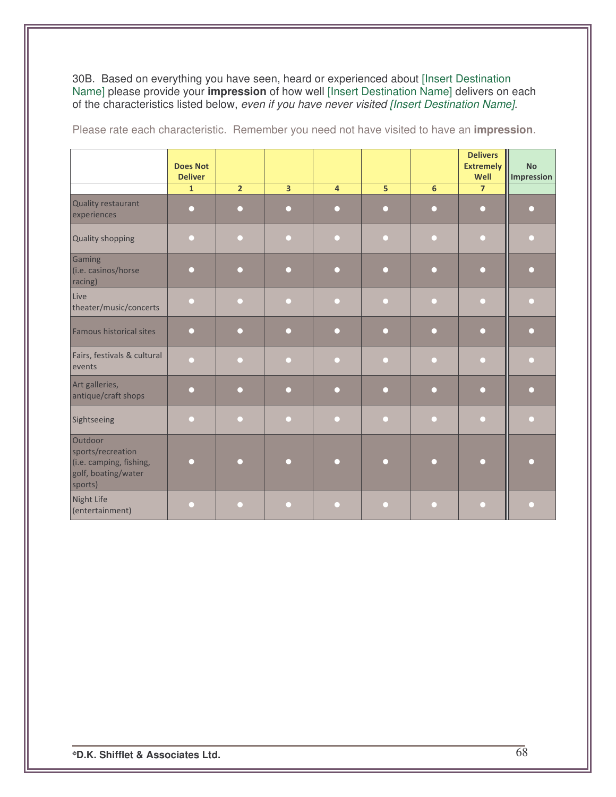30B. Based on everything you have seen, heard or experienced about [Insert Destination Name] please provide your *impression* of how well [Insert Destination Name] delivers on each of the characteristics listed below, *eve* 

|                                                                                           | <b>Does Not</b><br><b>Deliver</b> |                |                |                |        |     | <b>Delivers</b><br><b>Extremely</b><br>Well | <b>No</b><br>Impression |
|-------------------------------------------------------------------------------------------|-----------------------------------|----------------|----------------|----------------|--------|-----|---------------------------------------------|-------------------------|
|                                                                                           | $\mathbf{1}$                      | $\overline{2}$ | $\overline{3}$ | $\overline{4}$ | 5      | 6   | $\overline{7}$                              |                         |
| <b>Quality restaurant</b><br>experiences                                                  | $\Box$                            | □              | $\Box$         | ∩              | $\Box$ | □   | $\bigcirc$                                  |                         |
| <b>Quality shopping</b>                                                                   | $\Box$                            |                | ∩              | □              | n      |     | $\Box$                                      |                         |
| Gaming<br>(i.e. casinos/horse<br>racing)                                                  | n                                 |                | Г              | n              | г      |     | $\Box$                                      |                         |
| Live<br>theater/music/concerts                                                            | n                                 | O              | ∩              | r.             | г      | r i | n                                           |                         |
| Famous historical sites                                                                   | ∩                                 | n              | ∩              | □              | n      | т   | ∩                                           |                         |
| Fairs, festivals & cultural<br>events                                                     | □                                 |                | ∩              |                | Г      |     | ∩                                           |                         |
| Art galleries,<br>antique/craft shops                                                     | $\Box$                            | ∩              | $\Box$         | ∩              | ∩      | ∩   | $\Box$                                      |                         |
| Sightseeing                                                                               | n                                 |                | $\Box$         | □              | n      | O   | $\Box$                                      |                         |
| Outdoor<br>sports/recreation<br>(i.e. camping, fishing,<br>golf, boating/water<br>sports) | n                                 |                |                |                | n      |     | □                                           |                         |
| Night Life<br>(entertainment)                                                             | n                                 |                | ∩              |                | n      |     | n                                           |                         |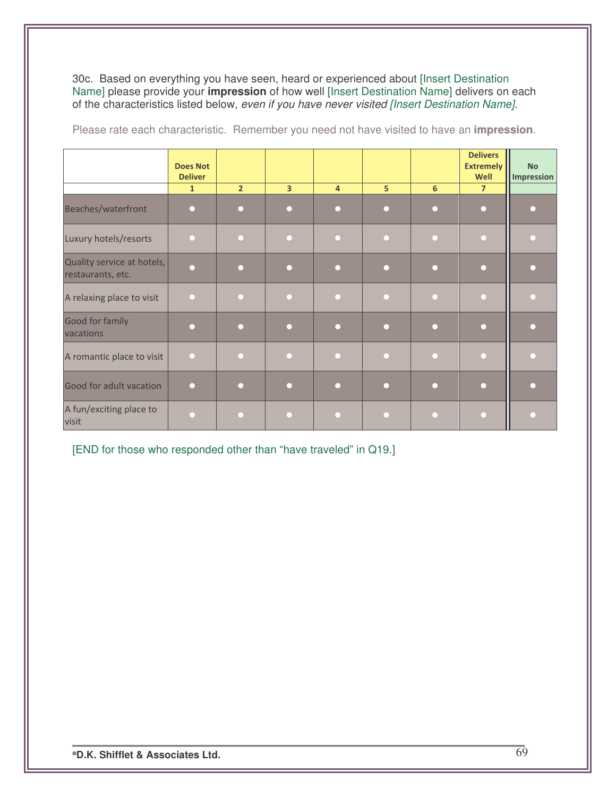30c. Based on everything you have seen, heard or experienced about [Insert Destination Name] please provide your **impression** of how well [Insert Destination Name] delivers on each of the characteristics listed below, *even if you have never visited [Insert Destination Name]*.

|                                                 | <b>Does Not</b><br><b>Deliver</b> |                |                |                |   |   | <b>Delivers</b><br><b>Extremely</b><br>Well | <b>No</b><br><b>Impression</b> |
|-------------------------------------------------|-----------------------------------|----------------|----------------|----------------|---|---|---------------------------------------------|--------------------------------|
|                                                 | $\mathbf{1}$                      | 2 <sup>2</sup> | $\overline{3}$ | $\overline{4}$ | 5 | 6 | $\overline{7}$                              |                                |
| Beaches/waterfront                              | Г                                 |                |                | n              |   |   |                                             |                                |
| Luxury hotels/resorts                           |                                   |                |                |                |   |   |                                             |                                |
| Quality service at hotels,<br>restaurants, etc. |                                   |                |                |                |   |   |                                             |                                |
| A relaxing place to visit                       |                                   |                |                |                |   |   |                                             |                                |
| Good for family<br>vacations                    |                                   |                |                |                |   |   |                                             |                                |
| A romantic place to visit                       |                                   |                |                |                |   |   |                                             |                                |
| Good for adult vacation                         |                                   |                |                |                |   |   |                                             |                                |
| A fun/exciting place to<br>visit                |                                   |                |                |                |   |   |                                             |                                |

Please rate each characteristic. Remember you need not have visited to have an **impression**.

[END for those who responded other than "have traveled" in Q19.]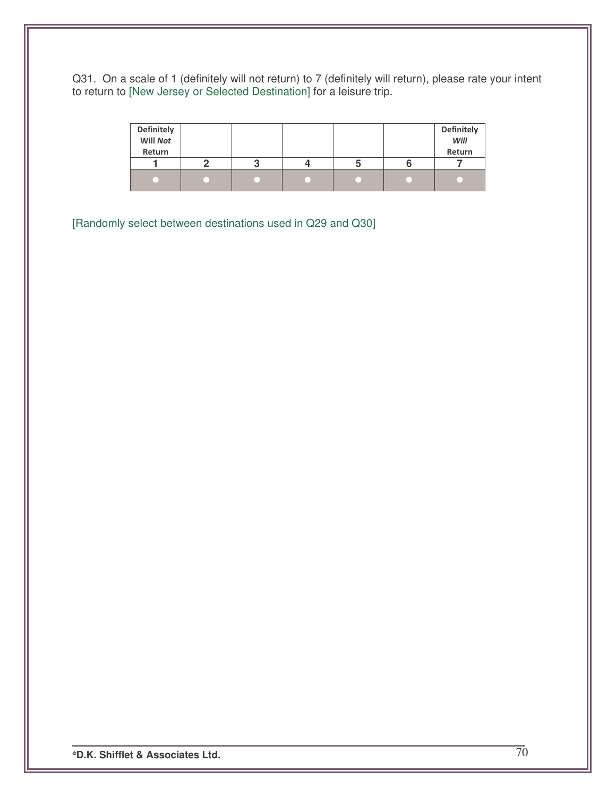Q31. On a scale of 1 (definitely will not return) to 7 (definitely will return), please rate your intent to return to [New Jersey or Selected Destination] for a leisure trip.

| <b>Definitely</b> |   |  | <b>Definitely</b><br>Will |
|-------------------|---|--|---------------------------|
| Will Not          |   |  |                           |
| Return            |   |  | Return                    |
|                   | ຟ |  |                           |
|                   |   |  |                           |

[Randomly select between destinations used in Q29 and Q30]

**D.K. Shifflet & Associates Ltd.** 70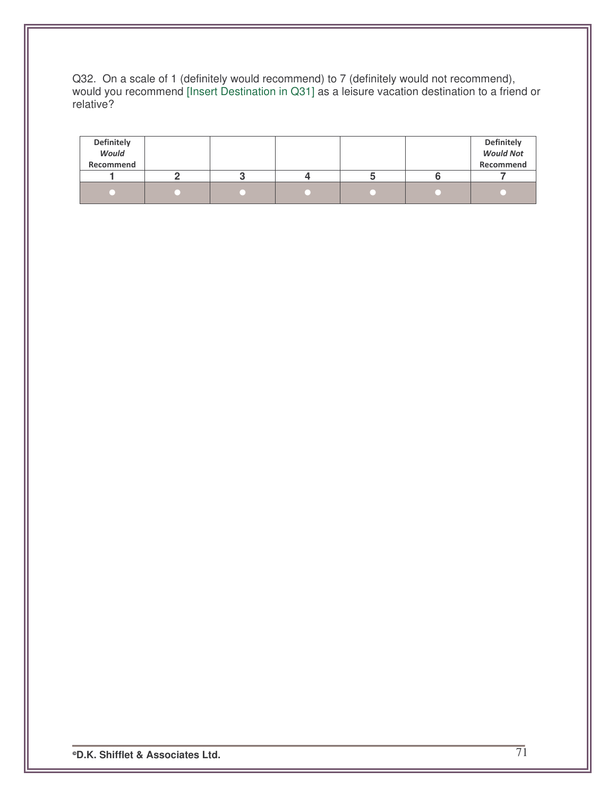Q32. On a scale of 1 (definitely would recommend) to 7 (definitely would not recommend), would you recommend [Insert Destination in Q31] as a leisure vacation destination to a friend or relative?

| <b>Definitely</b><br>Would<br>Recommend |  |  | <b>Definitely</b><br><b>Would Not</b><br>Recommend |
|-----------------------------------------|--|--|----------------------------------------------------|
|                                         |  |  |                                                    |
|                                         |  |  |                                                    |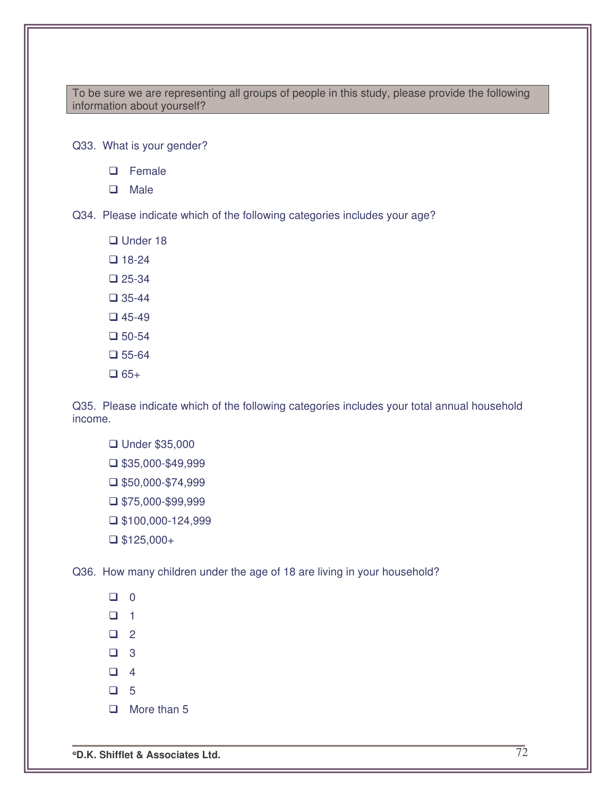To be sure we are representing all groups of people in this study, please provide the following information about yourself?

Q33. What is your gender?

- □ Female
- **Q** Male

Q34. Please indicate which of the following categories includes your age?

□ Under 18

 $\Box$  18-24

 $\Box$  25-34

 $\Box$  35-44

 $\Box$  45-49

- $\square$  50-54
- $\Box$  55-64
- $\Box$  65+

Q35. Please indicate which of the following categories includes your total annual household income.

- Under \$35,000
- $\square$ \$35,000-\$49,999
- $\Box$ \$50,000-\$74,999
- $\Box$  \$75,000-\$99,999
- $\Box$  \$100,000-124,999
- $\Box$  \$125,000+

Q36. How many children under the age of 18 are living in your household?

 $\Box$  0  $\Box$  1  $\Box$  2  $\Box$  3  $\Box$  4  $\Box$  5  $\Box$  More than 5

**D.K. Shifflet & Associates Ltd.** 72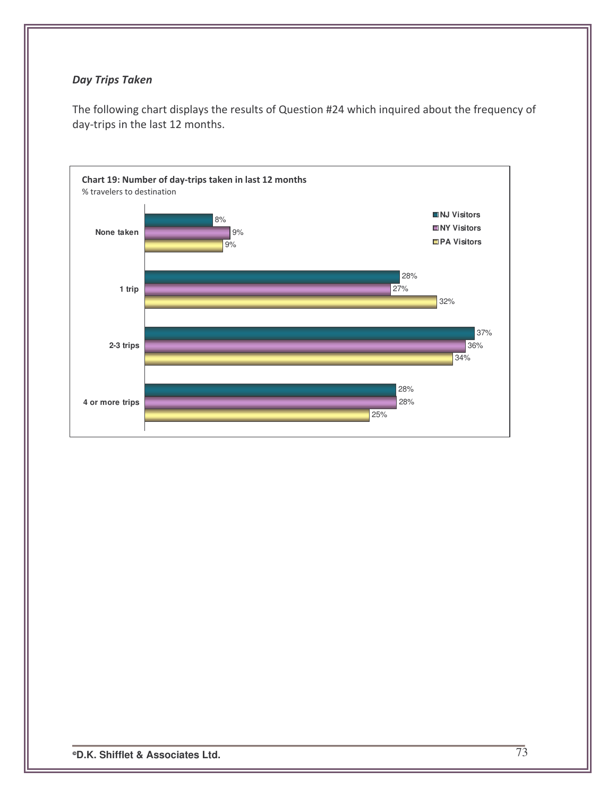## **Day Trips Taken**

The following chart displays the results of Question #24 which inquired about the frequency of day-trips in the last 12 months.